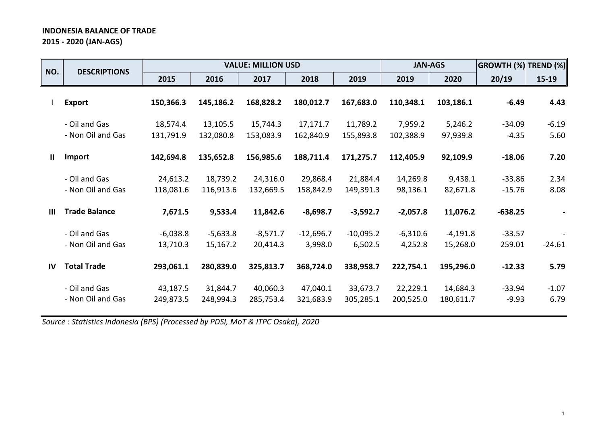# **INDONESIA BALANCE OF TRADE 2015 - 2020 (JAN-AGS)**

| NO.            | <b>DESCRIPTIONS</b>                |                        |                        | <b>VALUE: MILLION USD</b> |                        |                        | <b>JAN-AGS</b>        |                        | <b>GROWTH (%) TREND (%)</b> |                 |
|----------------|------------------------------------|------------------------|------------------------|---------------------------|------------------------|------------------------|-----------------------|------------------------|-----------------------------|-----------------|
|                |                                    | 2015                   | 2016                   | 2017                      | 2018                   | 2019                   | 2019                  | 2020                   | 20/19                       | $15-19$         |
|                | <b>Export</b>                      | 150,366.3              | 145,186.2              | 168,828.2                 | 180,012.7              | 167,683.0              | 110,348.1             | 103,186.1              | $-6.49$                     | 4.43            |
|                | - Oil and Gas<br>- Non Oil and Gas | 18,574.4<br>131,791.9  | 13,105.5<br>132,080.8  | 15,744.3<br>153,083.9     | 17,171.7<br>162,840.9  | 11,789.2<br>155,893.8  | 7,959.2<br>102,388.9  | 5,246.2<br>97,939.8    | $-34.09$<br>$-4.35$         | $-6.19$<br>5.60 |
| $\mathbf{I}$   | Import                             | 142,694.8              | 135,652.8              | 156,985.6                 | 188,711.4              | 171,275.7              | 112,405.9             | 92,109.9               | $-18.06$                    | 7.20            |
|                | - Oil and Gas<br>- Non Oil and Gas | 24,613.2<br>118,081.6  | 18,739.2<br>116,913.6  | 24,316.0<br>132,669.5     | 29,868.4<br>158,842.9  | 21,884.4<br>149,391.3  | 14,269.8<br>98,136.1  | 9,438.1<br>82,671.8    | $-33.86$<br>$-15.76$        | 2.34<br>8.08    |
| $\mathbf{III}$ | <b>Trade Balance</b>               | 7,671.5                | 9,533.4                | 11,842.6                  | $-8,698.7$             | $-3,592.7$             | $-2,057.8$            | 11,076.2               | $-638.25$                   |                 |
|                | - Oil and Gas<br>- Non Oil and Gas | $-6,038.8$<br>13,710.3 | $-5,633.8$<br>15,167.2 | $-8,571.7$<br>20,414.3    | $-12,696.7$<br>3,998.0 | $-10,095.2$<br>6,502.5 | $-6,310.6$<br>4,252.8 | $-4,191.8$<br>15,268.0 | $-33.57$<br>259.01          | $-24.61$        |
| IV             | <b>Total Trade</b>                 | 293,061.1              | 280,839.0              | 325,813.7                 | 368,724.0              | 338,958.7              | 222,754.1             | 195,296.0              | $-12.33$                    | 5.79            |
|                | - Oil and Gas<br>- Non Oil and Gas | 43,187.5<br>249,873.5  | 31,844.7<br>248,994.3  | 40,060.3<br>285,753.4     | 47,040.1<br>321,683.9  | 33,673.7<br>305,285.1  | 22,229.1<br>200,525.0 | 14,684.3<br>180,611.7  | $-33.94$<br>$-9.93$         | $-1.07$<br>6.79 |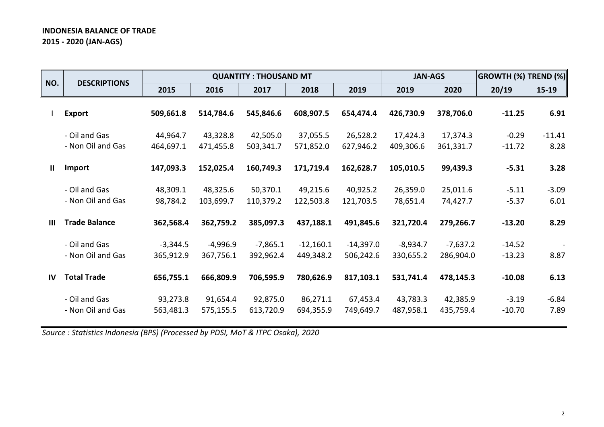# **INDONESIA BALANCE OF TRADE 2015 - 2020 (JAN-AGS)**

| NO.            | <b>DESCRIPTIONS</b>                |                         |                       | <b>QUANTITY: THOUSAND MT</b> |                          |                          | <b>JAN-AGS</b>          |                         | <b>GROWTH (%)</b>    | <b>TREND (%)</b> |
|----------------|------------------------------------|-------------------------|-----------------------|------------------------------|--------------------------|--------------------------|-------------------------|-------------------------|----------------------|------------------|
|                |                                    | 2015                    | 2016                  | 2017                         | 2018                     | 2019                     | 2019                    | 2020                    | 20/19                | $15-19$          |
|                | <b>Export</b>                      | 509,661.8               | 514,784.6             | 545,846.6                    | 608,907.5                | 654,474.4                | 426,730.9               | 378,706.0               | $-11.25$             | 6.91             |
|                | - Oil and Gas<br>- Non Oil and Gas | 44,964.7<br>464,697.1   | 43,328.8<br>471,455.8 | 42,505.0<br>503,341.7        | 37,055.5<br>571,852.0    | 26,528.2<br>627,946.2    | 17,424.3<br>409,306.6   | 17,374.3<br>361,331.7   | $-0.29$<br>$-11.72$  | $-11.41$<br>8.28 |
| Ш              | Import                             | 147,093.3               | 152,025.4             | 160,749.3                    | 171,719.4                | 162,628.7                | 105,010.5               | 99,439.3                | $-5.31$              | 3.28             |
|                | - Oil and Gas<br>- Non Oil and Gas | 48,309.1<br>98,784.2    | 48,325.6<br>103,699.7 | 50,370.1<br>110,379.2        | 49,215.6<br>122,503.8    | 40,925.2<br>121,703.5    | 26,359.0<br>78,651.4    | 25,011.6<br>74,427.7    | $-5.11$<br>$-5.37$   | $-3.09$<br>6.01  |
| $\mathbf{III}$ | <b>Trade Balance</b>               | 362,568.4               | 362,759.2             | 385,097.3                    | 437,188.1                | 491,845.6                | 321,720.4               | 279,266.7               | $-13.20$             | 8.29             |
|                | - Oil and Gas<br>- Non Oil and Gas | $-3,344.5$<br>365,912.9 | -4,996.9<br>367,756.1 | $-7,865.1$<br>392,962.4      | $-12,160.1$<br>449,348.2 | $-14,397.0$<br>506,242.6 | $-8,934.7$<br>330,655.2 | $-7,637.2$<br>286,904.0 | $-14.52$<br>$-13.23$ | 8.87             |
| IV             | <b>Total Trade</b>                 | 656,755.1               | 666,809.9             | 706,595.9                    | 780,626.9                | 817,103.1                | 531,741.4               | 478,145.3               | $-10.08$             | 6.13             |
|                | - Oil and Gas<br>- Non Oil and Gas | 93,273.8<br>563,481.3   | 91,654.4<br>575,155.5 | 92,875.0<br>613,720.9        | 86,271.1<br>694,355.9    | 67,453.4<br>749,649.7    | 43,783.3<br>487,958.1   | 42,385.9<br>435,759.4   | $-3.19$<br>$-10.70$  | $-6.84$<br>7.89  |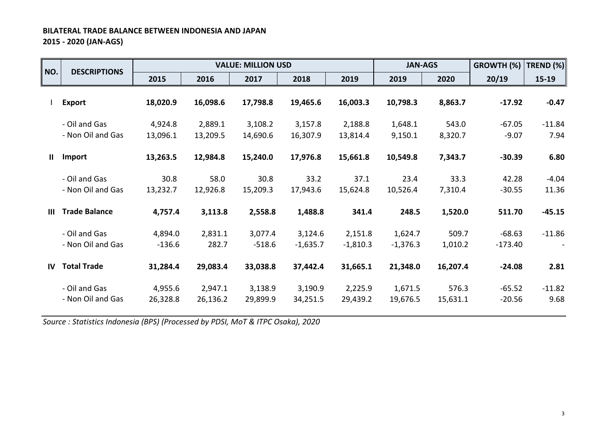# **BILATERAL TRADE BALANCE BETWEEN INDONESIA AND JAPAN 2015 - 2020 (JAN-AGS)**

| NO.          | <b>DESCRIPTIONS</b>  |          |          | <b>VALUE: MILLION USD</b> |            |            | <b>JAN-AGS</b> |          | GROWTH (%) | TREND (%) |
|--------------|----------------------|----------|----------|---------------------------|------------|------------|----------------|----------|------------|-----------|
|              |                      | 2015     | 2016     | 2017                      | 2018       | 2019       | 2019           | 2020     | 20/19      | $15-19$   |
|              | <b>Export</b>        | 18,020.9 | 16,098.6 | 17,798.8                  | 19,465.6   | 16,003.3   | 10,798.3       | 8,863.7  | $-17.92$   | $-0.47$   |
|              | - Oil and Gas        | 4,924.8  | 2,889.1  | 3,108.2                   | 3,157.8    | 2,188.8    | 1,648.1        | 543.0    | $-67.05$   | $-11.84$  |
|              | - Non Oil and Gas    | 13,096.1 | 13,209.5 | 14,690.6                  | 16,307.9   | 13,814.4   | 9,150.1        | 8,320.7  | $-9.07$    | 7.94      |
| Ш.           | Import               | 13,263.5 | 12,984.8 | 15,240.0                  | 17,976.8   | 15,661.8   | 10,549.8       | 7,343.7  | $-30.39$   | 6.80      |
|              | - Oil and Gas        | 30.8     | 58.0     | 30.8                      | 33.2       | 37.1       | 23.4           | 33.3     | 42.28      | $-4.04$   |
|              | - Non Oil and Gas    | 13,232.7 | 12,926.8 | 15,209.3                  | 17,943.6   | 15,624.8   | 10,526.4       | 7,310.4  | $-30.55$   | 11.36     |
| Ш            | <b>Trade Balance</b> | 4,757.4  | 3,113.8  | 2,558.8                   | 1,488.8    | 341.4      | 248.5          | 1,520.0  | 511.70     | $-45.15$  |
|              | - Oil and Gas        | 4,894.0  | 2,831.1  | 3,077.4                   | 3,124.6    | 2,151.8    | 1,624.7        | 509.7    | $-68.63$   | $-11.86$  |
|              | - Non Oil and Gas    | $-136.6$ | 282.7    | $-518.6$                  | $-1,635.7$ | $-1,810.3$ | $-1,376.3$     | 1,010.2  | $-173.40$  |           |
| $\mathbf{I}$ | <b>Total Trade</b>   | 31,284.4 | 29,083.4 | 33,038.8                  | 37,442.4   | 31,665.1   | 21,348.0       | 16,207.4 | $-24.08$   | 2.81      |
|              | - Oil and Gas        | 4,955.6  | 2,947.1  | 3,138.9                   | 3,190.9    | 2,225.9    | 1,671.5        | 576.3    | $-65.52$   | $-11.82$  |
|              | - Non Oil and Gas    | 26,328.8 | 26,136.2 | 29,899.9                  | 34,251.5   | 29,439.2   | 19,676.5       | 15,631.1 | $-20.56$   | 9.68      |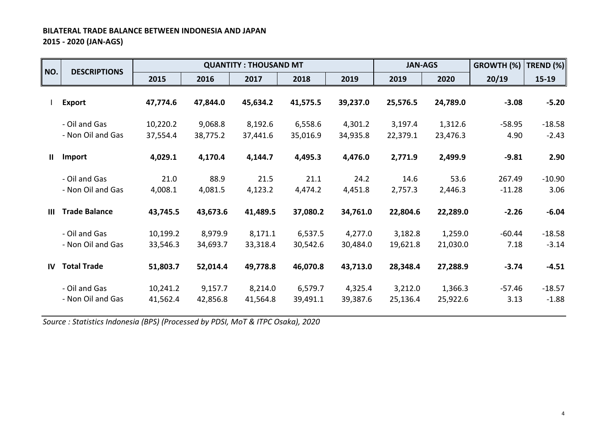# **BILATERAL TRADE BALANCE BETWEEN INDONESIA AND JAPAN 2015 - 2020 (JAN-AGS)**

| NO.       | <b>DESCRIPTIONS</b>                |                      |                     | <b>QUANTITY: THOUSAND MT</b> |                     |                     | <b>JAN-AGS</b>      |                     | GROWTH (%)         | TREND (%)           |
|-----------|------------------------------------|----------------------|---------------------|------------------------------|---------------------|---------------------|---------------------|---------------------|--------------------|---------------------|
|           |                                    | 2015                 | 2016                | 2017                         | 2018                | 2019                | 2019                | 2020                | 20/19              | $15 - 19$           |
|           | <b>Export</b>                      | 47,774.6             | 47,844.0            | 45,634.2                     | 41,575.5            | 39,237.0            | 25,576.5            | 24,789.0            | $-3.08$            | $-5.20$             |
|           | - Oil and Gas<br>- Non Oil and Gas | 10,220.2<br>37,554.4 | 9,068.8<br>38,775.2 | 8,192.6<br>37,441.6          | 6,558.6<br>35,016.9 | 4,301.2<br>34,935.8 | 3,197.4<br>22,379.1 | 1,312.6<br>23,476.3 | $-58.95$<br>4.90   | $-18.58$<br>$-2.43$ |
| Ш         | Import                             | 4,029.1              | 4,170.4             | 4,144.7                      | 4,495.3             | 4,476.0             | 2,771.9             | 2,499.9             | $-9.81$            | 2.90                |
|           | - Oil and Gas<br>- Non Oil and Gas | 21.0<br>4,008.1      | 88.9<br>4,081.5     | 21.5<br>4,123.2              | 21.1<br>4,474.2     | 24.2<br>4,451.8     | 14.6<br>2,757.3     | 53.6<br>2,446.3     | 267.49<br>$-11.28$ | $-10.90$<br>3.06    |
| Ш         | <b>Trade Balance</b>               | 43,745.5             | 43,673.6            | 41,489.5                     | 37,080.2            | 34,761.0            | 22,804.6            | 22,289.0            | $-2.26$            | $-6.04$             |
|           | - Oil and Gas<br>- Non Oil and Gas | 10,199.2<br>33,546.3 | 8,979.9<br>34,693.7 | 8,171.1<br>33,318.4          | 6,537.5<br>30,542.6 | 4,277.0<br>30,484.0 | 3,182.8<br>19,621.8 | 1,259.0<br>21,030.0 | $-60.44$<br>7.18   | $-18.58$<br>$-3.14$ |
| <b>IV</b> | <b>Total Trade</b>                 | 51,803.7             | 52,014.4            | 49,778.8                     | 46,070.8            | 43,713.0            | 28,348.4            | 27,288.9            | $-3.74$            | $-4.51$             |
|           | - Oil and Gas<br>- Non Oil and Gas | 10,241.2<br>41,562.4 | 9,157.7<br>42,856.8 | 8,214.0<br>41,564.8          | 6,579.7<br>39,491.1 | 4,325.4<br>39,387.6 | 3,212.0<br>25,136.4 | 1,366.3<br>25,922.6 | $-57.46$<br>3.13   | $-18.57$<br>$-1.88$ |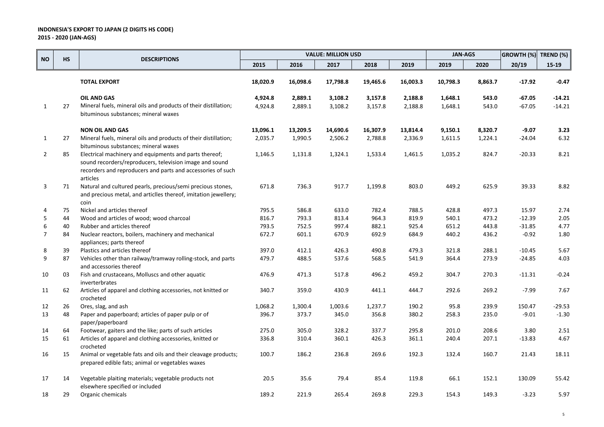|                |           |                                                                                                                                                                                              |          |          | <b>VALUE: MILLION USD</b> |          |          | <b>JAN-AGS</b> |         | GROWTH (%) TREND (%) |          |
|----------------|-----------|----------------------------------------------------------------------------------------------------------------------------------------------------------------------------------------------|----------|----------|---------------------------|----------|----------|----------------|---------|----------------------|----------|
| <b>NO</b>      | <b>HS</b> | <b>DESCRIPTIONS</b>                                                                                                                                                                          | 2015     | 2016     | 2017                      | 2018     | 2019     | 2019           | 2020    | 20/19                | $15-19$  |
|                |           | <b>TOTAL EXPORT</b>                                                                                                                                                                          | 18,020.9 | 16,098.6 | 17,798.8                  | 19,465.6 | 16,003.3 | 10,798.3       | 8,863.7 | $-17.92$             | $-0.47$  |
|                |           | <b>OIL AND GAS</b>                                                                                                                                                                           | 4,924.8  | 2,889.1  | 3,108.2                   | 3,157.8  | 2,188.8  | 1,648.1        | 543.0   | $-67.05$             | $-14.21$ |
| 1              | 27        | Mineral fuels, mineral oils and products of their distillation;                                                                                                                              | 4,924.8  | 2,889.1  | 3,108.2                   | 3,157.8  | 2,188.8  | 1,648.1        | 543.0   | $-67.05$             | $-14.21$ |
|                |           | bituminous substances; mineral waxes                                                                                                                                                         |          |          |                           |          |          |                |         |                      |          |
|                |           | <b>NON OIL AND GAS</b>                                                                                                                                                                       | 13,096.1 | 13,209.5 | 14,690.6                  | 16,307.9 | 13,814.4 | 9,150.1        | 8,320.7 | $-9.07$              | 3.23     |
| $\mathbf{1}$   | 27        | Mineral fuels, mineral oils and products of their distillation;<br>bituminous substances; mineral waxes                                                                                      | 2,035.7  | 1,990.5  | 2,506.2                   | 2,788.8  | 2,336.9  | 1,611.5        | 1,224.1 | $-24.04$             | 6.32     |
| $\overline{2}$ | 85        | Electrical machinery and equipments and parts thereof;<br>sound recorders/reproducers, television image and sound<br>recorders and reproducers and parts and accessories of such<br>articles | 1,146.5  | 1,131.8  | 1,324.1                   | 1,533.4  | 1,461.5  | 1,035.2        | 824.7   | $-20.33$             | 8.21     |
| 3              | 71        | Natural and cultured pearls, precious/semi precious stones,<br>and precious metal, and articlles thereof, imitation jewellery;<br>coin                                                       | 671.8    | 736.3    | 917.7                     | 1,199.8  | 803.0    | 449.2          | 625.9   | 39.33                | 8.82     |
| 4              | 75        | Nickel and articles thereof                                                                                                                                                                  | 795.5    | 586.8    | 633.0                     | 782.4    | 788.5    | 428.8          | 497.3   | 15.97                | 2.74     |
| 5              | 44        | Wood and articles of wood; wood charcoal                                                                                                                                                     | 816.7    | 793.3    | 813.4                     | 964.3    | 819.9    | 540.1          | 473.2   | $-12.39$             | 2.05     |
| 6              | 40        | Rubber and articles thereof                                                                                                                                                                  | 793.5    | 752.5    | 997.4                     | 882.1    | 925.4    | 651.2          | 443.8   | $-31.85$             | 4.77     |
| $\overline{7}$ | 84        | Nuclear reactors, boilers, machinery and mechanical<br>appliances; parts thereof                                                                                                             | 672.7    | 601.1    | 670.9                     | 692.9    | 684.9    | 440.2          | 436.2   | $-0.92$              | 1.80     |
| 8              | 39        | Plastics and articles thereof                                                                                                                                                                | 397.0    | 412.1    | 426.3                     | 490.8    | 479.3    | 321.8          | 288.1   | $-10.45$             | 5.67     |
| 9              | 87        | Vehicles other than railway/tramway rolling-stock, and parts<br>and accessories thereof                                                                                                      | 479.7    | 488.5    | 537.6                     | 568.5    | 541.9    | 364.4          | 273.9   | $-24.85$             | 4.03     |
| 10             | 03        | Fish and crustaceans, Molluscs and other aquatic<br>inverterbrates                                                                                                                           | 476.9    | 471.3    | 517.8                     | 496.2    | 459.2    | 304.7          | 270.3   | $-11.31$             | $-0.24$  |
| 11             | 62        | Articles of apparel and clothing accessories, not knitted or<br>crocheted                                                                                                                    | 340.7    | 359.0    | 430.9                     | 441.1    | 444.7    | 292.6          | 269.2   | $-7.99$              | 7.67     |
| 12             | 26        | Ores, slag, and ash                                                                                                                                                                          | 1,068.2  | 1,300.4  | 1,003.6                   | 1,237.7  | 190.2    | 95.8           | 239.9   | 150.47               | $-29.53$ |
| 13             | 48        | Paper and paperboard; articles of paper pulp or of<br>paper/paperboard                                                                                                                       | 396.7    | 373.7    | 345.0                     | 356.8    | 380.2    | 258.3          | 235.0   | $-9.01$              | $-1.30$  |
| 14             | 64        | Footwear, gaiters and the like; parts of such articles                                                                                                                                       | 275.0    | 305.0    | 328.2                     | 337.7    | 295.8    | 201.0          | 208.6   | 3.80                 | 2.51     |
| 15             | 61        | Articles of apparel and clothing accessories, knitted or<br>crocheted                                                                                                                        | 336.8    | 310.4    | 360.1                     | 426.3    | 361.1    | 240.4          | 207.1   | $-13.83$             | 4.67     |
| 16             | 15        | Animal or vegetable fats and oils and their cleavage products;<br>prepared edible fats; animal or vegetables waxes                                                                           | 100.7    | 186.2    | 236.8                     | 269.6    | 192.3    | 132.4          | 160.7   | 21.43                | 18.11    |
| 17             | 14        | Vegetable plaiting materials; vegetable products not<br>elsewhere specified or included                                                                                                      | 20.5     | 35.6     | 79.4                      | 85.4     | 119.8    | 66.1           | 152.1   | 130.09               | 55.42    |
| 18             | 29        | Organic chemicals                                                                                                                                                                            | 189.2    | 221.9    | 265.4                     | 269.8    | 229.3    | 154.3          | 149.3   | $-3.23$              | 5.97     |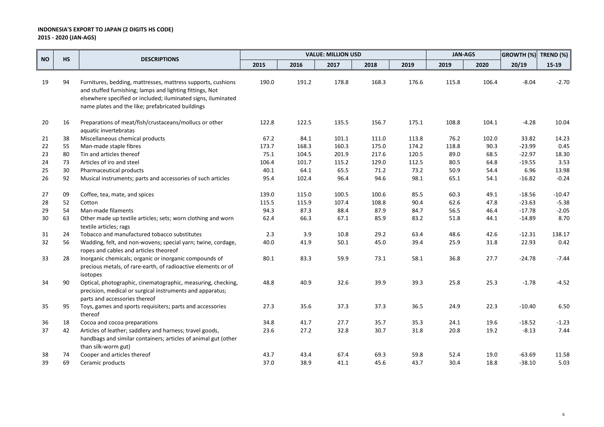|           |           |                                                                                                                                                                                                                                                |       |       | <b>VALUE: MILLION USD</b> |       |       | <b>JAN-AGS</b> |       | <b>GROWTH (%)</b> | TREND (%) |
|-----------|-----------|------------------------------------------------------------------------------------------------------------------------------------------------------------------------------------------------------------------------------------------------|-------|-------|---------------------------|-------|-------|----------------|-------|-------------------|-----------|
| <b>NO</b> | <b>HS</b> | <b>DESCRIPTIONS</b>                                                                                                                                                                                                                            | 2015  | 2016  | 2017                      | 2018  | 2019  | 2019           | 2020  | 20/19             | $15 - 19$ |
| 19        | 94        | Furnitures, bedding, mattresses, mattress supports, cushions<br>and stuffed furnishing; lamps and lighting fittings, Not<br>elsewhere specified or included; iluminated signs, iluminated<br>name plates and the like; prefabricated buildings | 190.0 | 191.2 | 178.8                     | 168.3 | 176.6 | 115.8          | 106.4 | $-8.04$           | $-2.70$   |
| 20        | 16        | Preparations of meat/fish/crustaceans/mollucs or other<br>aquatic invertebratas                                                                                                                                                                | 122.8 | 122.5 | 135.5                     | 156.7 | 175.1 | 108.8          | 104.1 | $-4.28$           | 10.04     |
| 21        | 38        | Miscellaneous chemical products                                                                                                                                                                                                                | 67.2  | 84.1  | 101.1                     | 111.0 | 113.8 | 76.2           | 102.0 | 33.82             | 14.23     |
| 22        | 55        | Man-made staple fibres                                                                                                                                                                                                                         | 173.7 | 168.3 | 160.3                     | 175.0 | 174.2 | 118.8          | 90.3  | $-23.99$          | 0.45      |
| 23        | 80        | Tin and articles thereof                                                                                                                                                                                                                       | 75.1  | 104.5 | 201.9                     | 217.6 | 120.5 | 89.0           | 68.5  | $-22.97$          | 18.30     |
| 24        | 73        | Articles of iro and steel                                                                                                                                                                                                                      | 106.4 | 101.7 | 115.2                     | 129.0 | 112.5 | 80.5           | 64.8  | $-19.55$          | 3.53      |
| 25        | 30        | Pharmaceutical products                                                                                                                                                                                                                        | 40.1  | 64.1  | 65.5                      | 71.2  | 73.2  | 50.9           | 54.4  | 6.96              | 13.98     |
| 26        | 92        | Musical instruments; parts and accessories of such articles                                                                                                                                                                                    | 95.4  | 102.4 | 96.4                      | 94.6  | 98.1  | 65.1           | 54.1  | $-16.82$          | $-0.24$   |
| 27        | 09        | Coffee, tea, mate, and spices                                                                                                                                                                                                                  | 139.0 | 115.0 | 100.5                     | 100.6 | 85.5  | 60.3           | 49.1  | $-18.56$          | $-10.47$  |
| 28        | 52        | Cotton                                                                                                                                                                                                                                         | 115.5 | 115.9 | 107.4                     | 108.8 | 90.4  | 62.6           | 47.8  | $-23.63$          | $-5.38$   |
| 29        | 54        | Man-made filaments                                                                                                                                                                                                                             | 94.3  | 87.3  | 88.4                      | 87.9  | 84.7  | 56.5           | 46.4  | $-17.78$          | $-2.05$   |
| 30        | 63        | Other made up textile articles; sets; worn clothing and worn<br>textile articles; rags                                                                                                                                                         | 62.4  | 66.3  | 67.1                      | 85.9  | 83.2  | 51.8           | 44.1  | $-14.89$          | 8.70      |
| 31        | 24        | Tobacco and manufactured tobacco substitutes                                                                                                                                                                                                   | 2.3   | 3.9   | 10.8                      | 29.2  | 63.4  | 48.6           | 42.6  | $-12.31$          | 138.17    |
| 32        | 56        | Wadding, felt, and non-wovens; special yarn; twine, cordage,<br>ropes and cables and articles theoreof                                                                                                                                         | 40.0  | 41.9  | 50.1                      | 45.0  | 39.4  | 25.9           | 31.8  | 22.93             | 0.42      |
| 33        | 28        | Inorganic chemicals; organic or inorganic compounds of<br>precious metals, of rare-earth, of radioactive elements or of<br>isotopes                                                                                                            | 80.1  | 83.3  | 59.9                      | 73.1  | 58.1  | 36.8           | 27.7  | $-24.78$          | $-7.44$   |
| 34        | 90        | Optical, photographic, cinematographic, measuring, checking,<br>precision, medical or surgical instruments and apparatus;<br>parts and accessories thereof                                                                                     | 48.8  | 40.9  | 32.6                      | 39.9  | 39.3  | 25.8           | 25.3  | $-1.78$           | $-4.52$   |
| 35        | 95        | Toys, games and sports requisiters; parts and accessories<br>thereof                                                                                                                                                                           | 27.3  | 35.6  | 37.3                      | 37.3  | 36.5  | 24.9           | 22.3  | $-10.40$          | 6.50      |
| 36        | 18        | Cocoa and cocoa preparations                                                                                                                                                                                                                   | 34.8  | 41.7  | 27.7                      | 35.7  | 35.3  | 24.1           | 19.6  | $-18.52$          | $-1.23$   |
| 37        | 42        | Articles of leather; saddlery and harness; travel goods,<br>handbags and similar containers; articles of animal gut (other<br>than silk-worm gut)                                                                                              | 23.6  | 27.2  | 32.8                      | 30.7  | 31.8  | 20.8           | 19.2  | $-8.13$           | 7.44      |
| 38        | 74        | Cooper and articles thereof                                                                                                                                                                                                                    | 43.7  | 43.4  | 67.4                      | 69.3  | 59.8  | 52.4           | 19.0  | $-63.69$          | 11.58     |
| 39        | 69        | Ceramic products                                                                                                                                                                                                                               | 37.0  | 38.9  | 41.1                      | 45.6  | 43.7  | 30.4           | 18.8  | $-38.10$          | 5.03      |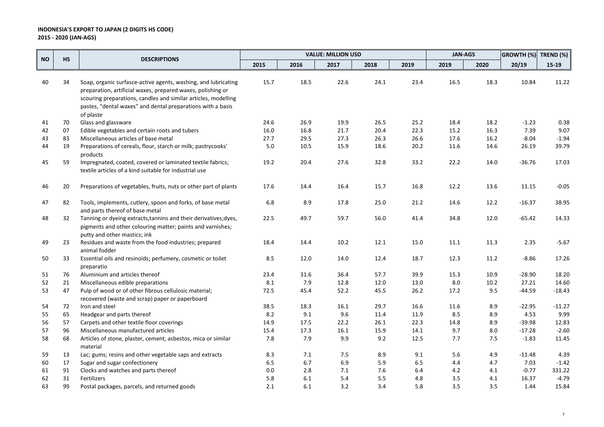|           |           |                                                                                                                                                                                                                                                                             | <b>VALUE: MILLION USD</b> |      |      |      | <b>JAN-AGS</b> |      | GROWTH (%) TREND (%) |          |          |
|-----------|-----------|-----------------------------------------------------------------------------------------------------------------------------------------------------------------------------------------------------------------------------------------------------------------------------|---------------------------|------|------|------|----------------|------|----------------------|----------|----------|
| <b>NO</b> | <b>HS</b> | <b>DESCRIPTIONS</b>                                                                                                                                                                                                                                                         | 2015                      | 2016 | 2017 | 2018 | 2019           | 2019 | 2020                 | 20/19    | $15-19$  |
| 40        | 34        | Soap, organic surfasce-active agents, washing, and lubricating<br>preparation, artificial waxes, prepared waxes, polishing or<br>scouring preparations, candles and similar articles, modelling<br>pastes, "dental waxes" and dental preparations with a basis<br>of plaste | 15.7                      | 18.5 | 22.6 | 24.1 | 23.4           | 16.5 | 18.3                 | 10.84    | 11.22    |
| 41        | 70        | Glass and glassware                                                                                                                                                                                                                                                         | 24.6                      | 26.9 | 19.9 | 26.5 | 25.2           | 18.4 | 18.2                 | $-1.23$  | 0.38     |
| 42        | 07        | Edible vegetables and certain roots and tubers                                                                                                                                                                                                                              | 16.0                      | 16.8 | 21.7 | 20.4 | 22.3           | 15.2 | 16.3                 | 7.39     | 9.07     |
| 43        | 83        | Miscellaneous articles of base metal                                                                                                                                                                                                                                        | 27.7                      | 29.5 | 27.3 | 26.3 | 26.6           | 17.6 | 16.2                 | $-8.04$  | $-1.94$  |
| 44        | 19        | Preparations of cereals, flour, starch or milk; pastrycooks'<br>products                                                                                                                                                                                                    | 5.0                       | 10.5 | 15.9 | 18.6 | 20.2           | 11.6 | 14.6                 | 26.19    | 39.79    |
| 45        | 59        | Impregnated, coated, covered or laminated textile fabrics;<br>textile articles of a kind suitable for industrial use                                                                                                                                                        | 19.2                      | 20.4 | 27.6 | 32.8 | 33.2           | 22.2 | 14.0                 | $-36.76$ | 17.03    |
| 46        | 20        | Preparations of vegetables, fruits, nuts or other part of plants                                                                                                                                                                                                            | 17.6                      | 14.4 | 16.4 | 15.7 | 16.8           | 12.2 | 13.6                 | 11.15    | $-0.05$  |
| 47        | 82        | Tools, implements, cutlery, spoon and forks, of base metal<br>and parts thereof of base metal                                                                                                                                                                               | 6.8                       | 8.9  | 17.8 | 25.0 | 21.2           | 14.6 | 12.2                 | $-16.37$ | 38.95    |
| 48        | 32        | Tanning or dyeing extracts, tannins and their derivatives; dyes,<br>pigments and other colouring matter; paints and varnishes;<br>putty and other mastics; ink                                                                                                              | 22.5                      | 49.7 | 59.7 | 56.0 | 41.4           | 34.8 | 12.0                 | $-65.42$ | 14.33    |
| 49        | 23        | Residues and waste from the food industries; prepared<br>animal fodder                                                                                                                                                                                                      | 18.4                      | 14.4 | 10.2 | 12.1 | 15.0           | 11.1 | 11.3                 | 2.35     | $-5.67$  |
| 50        | 33        | Essential oils and resinoids; perfumery, cosmetic or toilet<br>preparatio                                                                                                                                                                                                   | 8.5                       | 12.0 | 14.0 | 12.4 | 18.7           | 12.3 | 11.2                 | $-8.86$  | 17.26    |
| 51        | 76        | Aluminium and articles thereof                                                                                                                                                                                                                                              | 23.4                      | 31.6 | 36.4 | 57.7 | 39.9           | 15.3 | 10.9                 | $-28.90$ | 18.20    |
| 52        | 21        | Miscellaneous edible preparations                                                                                                                                                                                                                                           | 8.1                       | 7.9  | 12.8 | 12.0 | 13.0           | 8.0  | $10.2\,$             | 27.21    | 14.60    |
| 53        | 47        | Pulp of wood or of other fibrous cellulosic material;                                                                                                                                                                                                                       | 72.5                      | 45.4 | 52.2 | 45.5 | 26.2           | 17.2 | 9.5                  | $-44.59$ | -18.43   |
|           |           | recovered (waste and scrap) paper or paperboard                                                                                                                                                                                                                             |                           |      |      |      |                |      |                      |          |          |
| 54        | 72        | Iron and steel                                                                                                                                                                                                                                                              | 38.5                      | 18.3 | 16.1 | 29.7 | 16.6           | 11.6 | 8.9                  | $-22.95$ | $-11.27$ |
| 55        | 65        | Headgear and parts thereof                                                                                                                                                                                                                                                  | 8.2                       | 9.1  | 9.6  | 11.4 | 11.9           | 8.5  | 8.9                  | 4.53     | 9.99     |
| 56        | 57        | Carpets and other textile floor coverings                                                                                                                                                                                                                                   | 14.9                      | 17.5 | 22.2 | 26.1 | 22.3           | 14.8 | 8.9                  | $-39.98$ | 12.83    |
| 57        | 96        | Miscellaneous manufactured articles                                                                                                                                                                                                                                         | 15.4                      | 17.3 | 16.1 | 15.9 | 14.1           | 9.7  | 8.0                  | $-17.28$ | $-2.60$  |
| 58        | 68        | Articles of stone, plaster, cement, asbestos, mica or similar<br>material                                                                                                                                                                                                   | 7.8                       | 7.9  | 9.9  | 9.2  | 12.5           | 7.7  | 7.5                  | $-1.83$  | 11.45    |
| 59        | 13        | Lac; gums; resins and other vegetable saps and extracts                                                                                                                                                                                                                     | 8.3                       | 7.1  | 7.5  | 8.9  | 9.1            | 5.6  | 4.9                  | $-11.48$ | 4.39     |
| 60        | 17        | Sugar and sugar confectionery                                                                                                                                                                                                                                               | 6.5                       | 6.7  | 6.9  | 5.9  | 6.5            | 4.4  | 4.7                  | 7.03     | $-1.42$  |
| 61        | 91        | Clocks and watches and parts thereof                                                                                                                                                                                                                                        | 0.0                       | 2.8  | 7.1  | 7.6  | 6.4            | 4.2  | 4.1                  | $-0.77$  | 331.22   |
| 62        | 31        | Fertilizers                                                                                                                                                                                                                                                                 | 5.8                       | 6.1  | 5.4  | 5.5  | 4.8            | 3.5  | 4.1                  | 16.37    | $-4.79$  |
| 63        | 99        | Postal packages, parcels, and returned goods                                                                                                                                                                                                                                | 2.1                       | 6.1  | 3.2  | 3.4  | 5.8            | 3.5  | 3.5                  | 1.44     | 15.84    |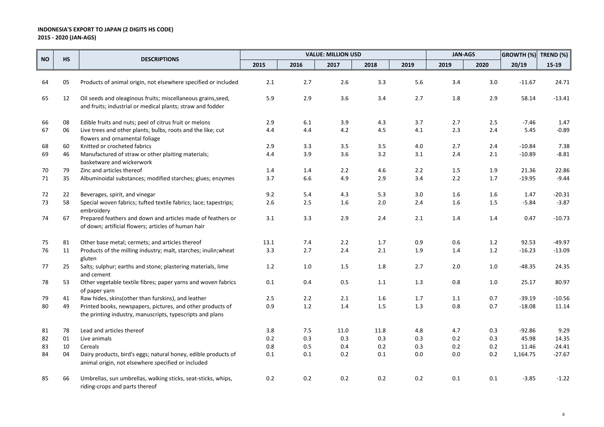|           |           |                                                                                                                         |         |         | <b>VALUE: MILLION USD</b> |         |      | <b>JAN-AGS</b> |         | GROWTH (%) TREND (%) |          |
|-----------|-----------|-------------------------------------------------------------------------------------------------------------------------|---------|---------|---------------------------|---------|------|----------------|---------|----------------------|----------|
| <b>NO</b> | <b>HS</b> | <b>DESCRIPTIONS</b>                                                                                                     | 2015    | 2016    | 2017                      | 2018    | 2019 | 2019           | 2020    | 20/19                | $15-19$  |
|           |           |                                                                                                                         |         |         |                           |         |      |                |         |                      |          |
| 64        | 05        | Products of animal origin, not elsewhere specified or included                                                          | 2.1     | 2.7     | 2.6                       | 3.3     | 5.6  | 3.4            | 3.0     | $-11.67$             | 24.71    |
| 65        | 12        | Oil seeds and oleaginous fruits; miscellaneous grains, seed,                                                            | 5.9     | 2.9     | 3.6                       | 3.4     | 2.7  | 1.8            | 2.9     | 58.14                | $-13.41$ |
|           |           | and fruits; industrial or medical plants; straw and fodder                                                              |         |         |                           |         |      |                |         |                      |          |
| 66        | 08        | Edible fruits and nuts; peel of citrus fruit or melons                                                                  | 2.9     | 6.1     | 3.9                       | 4.3     | 3.7  | 2.7            | 2.5     | $-7.46$              | 1.47     |
| 67        | 06        | Live trees and other plants; bulbs, roots and the like; cut<br>flowers and ornamental foliage                           | 4.4     | 4.4     | 4.2                       | 4.5     | 4.1  | 2.3            | 2.4     | 5.45                 | $-0.89$  |
| 68        | 60        | Knitted or crocheted fabrics                                                                                            | 2.9     | 3.3     | 3.5                       | 3.5     | 4.0  | 2.7            | 2.4     | $-10.84$             | 7.38     |
| 69        | 46        | Manufactured of straw or other plaiting materials;<br>basketware and wickerwork                                         | 4.4     | 3.9     | 3.6                       | $3.2$   | 3.1  | 2.4            | $2.1\,$ | $-10.89$             | $-8.81$  |
| 70        | 79        | Zinc and articles thereof                                                                                               | 1.4     | 1.4     | 2.2                       | 4.6     | 2.2  | 1.5            | 1.9     | 21.36                | 22.86    |
| 71        | 35        | Albuminoidal substances; modified starches; glues; enzymes                                                              | 3.7     | 6.6     | 4.9                       | 2.9     | 3.4  | 2.2            | 1.7     | $-19.95$             | $-9.44$  |
| 72        | 22        | Beverages, spirit, and vinegar                                                                                          | 9.2     | 5.4     | 4.3                       | 5.3     | 3.0  | 1.6            | 1.6     | 1.47                 | $-20.31$ |
| 73        | 58        | Special woven fabrics; tufted textile fabrics; lace; tapestrips;<br>embroidery                                          | 2.6     | 2.5     | 1.6                       | 2.0     | 2.4  | 1.6            | 1.5     | $-5.84$              | $-3.87$  |
| 74        | 67        | Prepared feathers and down and articles made of feathers or<br>of down; artificial flowers; articles of human hair      | 3.1     | 3.3     | 2.9                       | 2.4     | 2.1  | 1.4            | 1.4     | 0.47                 | $-10.73$ |
| 75        | 81        | Other base metal; cermets; and articles thereof                                                                         | 13.1    | 7.4     | 2.2                       | 1.7     | 0.9  | 0.6            | 1.2     | 92.53                | $-49.97$ |
| 76        | 11        | Products of the milling industry; malt, starches; inulin; wheat<br>gluten                                               | 3.3     | 2.7     | 2.4                       | 2.1     | 1.9  | 1.4            | $1.2\,$ | $-16.23$             | $-13.09$ |
| 77        | 25        | Salts; sulphur; earths and stone; plastering materials, lime<br>and cement                                              | 1.2     | $1.0\,$ | $1.5\,$                   | 1.8     | 2.7  | 2.0            | 1.0     | $-48.35$             | 24.35    |
| 78        | 53        | Other vegetable textile fibres; paper yarns and woven fabrics<br>of paper yarn                                          | 0.1     | 0.4     | 0.5                       | 1.1     | 1.3  | 0.8            | $1.0$   | 25.17                | 80.97    |
| 79        | 41        | Raw hides, skins(other than furskins), and leather                                                                      | 2.5     | 2.2     | 2.1                       | 1.6     | 1.7  | 1.1            | 0.7     | $-39.19$             | $-10.56$ |
| 80        | 49        | Printed books, newspapers, pictures, and other products of<br>the printing industry, manuscripts, typescripts and plans | 0.9     | 1.2     | $1.4\,$                   | $1.5\,$ | 1.3  | 0.8            | 0.7     | $-18.08$             | 11.14    |
| 81        | 78        | Lead and articles thereof                                                                                               | 3.8     | 7.5     | 11.0                      | 11.8    | 4.8  | 4.7            | 0.3     | $-92.86$             | 9.29     |
| 82        | 01        | Live animals                                                                                                            | 0.2     | 0.3     | 0.3                       | 0.3     | 0.3  | 0.2            | 0.3     | 45.98                | 14.35    |
| 83        | 10        | Cereals                                                                                                                 | $0.8\,$ | 0.5     | 0.4                       | 0.2     | 0.3  | $0.2\,$        | 0.2     | 11.46                | $-24.41$ |
| 84        | 04        | Dairy products, bird's eggs; natural honey, edible products of<br>animal origin, not elsewhere specified or included    | 0.1     | 0.1     | 0.2                       | 0.1     | 0.0  | 0.0            | 0.2     | 1,164.75             | $-27.67$ |
| 85        | 66        | Umbrellas, sun umbrellas, walking sticks, seat-sticks, whips,<br>riding-crops and parts thereof                         | 0.2     | 0.2     | 0.2                       | 0.2     | 0.2  | 0.1            | 0.1     | $-3.85$              | $-1.22$  |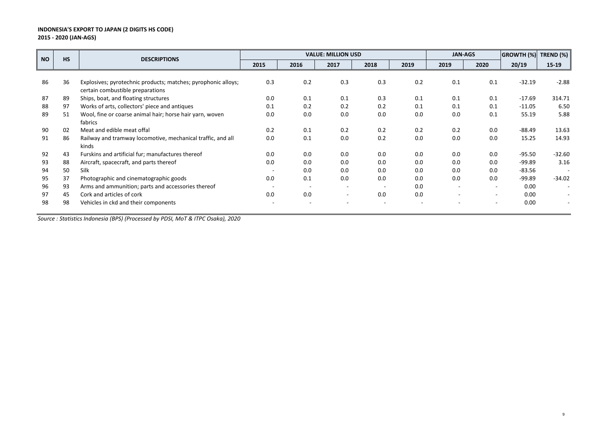|           | <b>HS</b> | <b>DESCRIPTIONS</b>                                                                               |      |      | <b>VALUE: MILLION USD</b> |      |      | <b>JAN-AGS</b> |                          | <b>GROWTH (%)</b> | TREND (%) |
|-----------|-----------|---------------------------------------------------------------------------------------------------|------|------|---------------------------|------|------|----------------|--------------------------|-------------------|-----------|
| <b>NO</b> |           |                                                                                                   | 2015 | 2016 | 2017                      | 2018 | 2019 | 2019           | 2020                     | 20/19             | $15-19$   |
|           |           |                                                                                                   |      |      |                           |      |      |                |                          |                   |           |
| 86        | 36        | Explosives; pyrotechnic products; matches; pyrophonic alloys;<br>certain combustible preparations | 0.3  | 0.2  | 0.3                       | 0.3  | 0.2  | 0.1            | 0.1                      | $-32.19$          | $-2.88$   |
| 87        | 89        | Ships, boat, and floating structures                                                              | 0.0  | 0.1  | 0.1                       | 0.3  | 0.1  | 0.1            | 0.1                      | $-17.69$          | 314.71    |
| 88        | 97        | Works of arts, collectors' piece and antiques                                                     | 0.1  | 0.2  | 0.2                       | 0.2  | 0.1  | 0.1            | 0.1                      | $-11.05$          | 6.50      |
| 89        | 51        | Wool, fine or coarse animal hair; horse hair yarn, woven                                          | 0.0  | 0.0  | 0.0                       | 0.0  | 0.0  | 0.0            | 0.1                      | 55.19             | 5.88      |
|           |           | fabrics                                                                                           |      |      |                           |      |      |                |                          |                   |           |
| 90        | 02        | Meat and edible meat offal                                                                        | 0.2  | 0.1  | 0.2                       | 0.2  | 0.2  | 0.2            | 0.0                      | $-88.49$          | 13.63     |
| 91        | 86        | Railway and tramway locomotive, mechanical traffic, and all                                       | 0.0  | 0.1  | 0.0                       | 0.2  | 0.0  | 0.0            | 0.0                      | 15.25             | 14.93     |
|           |           | kinds                                                                                             |      |      |                           |      |      |                |                          |                   |           |
| 92        | 43        | Furskins and artificial fur; manufactures thereof                                                 | 0.0  | 0.0  | 0.0                       | 0.0  | 0.0  | 0.0            | 0.0                      | $-95.50$          | $-32.60$  |
| 93        | 88        | Aircraft, spacecraft, and parts thereof                                                           | 0.0  | 0.0  | 0.0                       | 0.0  | 0.0  | 0.0            | 0.0                      | $-99.89$          | 3.16      |
| 94        | 50        | Silk                                                                                              |      | 0.0  | 0.0                       | 0.0  | 0.0  | 0.0            | 0.0                      | $-83.56$          |           |
| 95        | 37        | Photographic and cinematographic goods                                                            | 0.0  | 0.1  | 0.0                       | 0.0  | 0.0  | 0.0            | 0.0                      | $-99.89$          | $-34.02$  |
| 96        | 93        | Arms and ammunition; parts and accessories thereof                                                |      |      |                           |      | 0.0  |                | $\overline{\phantom{a}}$ | 0.00              |           |
| 97        | 45        | Cork and articles of cork                                                                         | 0.0  | 0.0  | $\overline{\phantom{a}}$  | 0.0  | 0.0  |                | $\overline{\phantom{a}}$ | 0.00              |           |
| 98        | 98        | Vehicles in ckd and their components                                                              |      |      |                           |      |      |                | $\overline{\phantom{a}}$ | 0.00              |           |
|           |           |                                                                                                   |      |      |                           |      |      |                |                          |                   |           |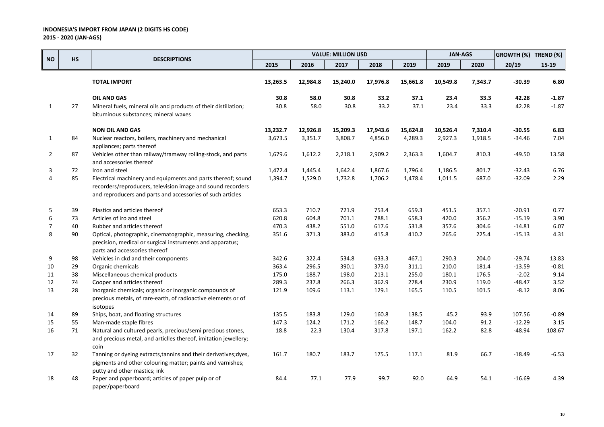|                |           |                                                                                                                                                                                           |          |          | <b>VALUE: MILLION USD</b> |          |          | <b>JAN-AGS</b> |         | GROWTH (%) | TREND (%) |
|----------------|-----------|-------------------------------------------------------------------------------------------------------------------------------------------------------------------------------------------|----------|----------|---------------------------|----------|----------|----------------|---------|------------|-----------|
| <b>NO</b>      | <b>HS</b> | <b>DESCRIPTIONS</b>                                                                                                                                                                       | 2015     | 2016     | 2017                      | 2018     | 2019     | 2019           | 2020    | 20/19      | 15-19     |
|                |           | <b>TOTAL IMPORT</b>                                                                                                                                                                       | 13,263.5 | 12,984.8 | 15,240.0                  | 17,976.8 | 15,661.8 | 10,549.8       | 7,343.7 | $-30.39$   | 6.80      |
|                |           | <b>OIL AND GAS</b>                                                                                                                                                                        | 30.8     | 58.0     | 30.8                      | 33.2     | 37.1     | 23.4           | 33.3    | 42.28      | $-1.87$   |
| 1              | 27        | Mineral fuels, mineral oils and products of their distillation;<br>bituminous substances; mineral waxes                                                                                   | 30.8     | 58.0     | 30.8                      | 33.2     | 37.1     | 23.4           | 33.3    | 42.28      | $-1.87$   |
|                |           | <b>NON OIL AND GAS</b>                                                                                                                                                                    | 13,232.7 | 12,926.8 | 15,209.3                  | 17,943.6 | 15,624.8 | 10,526.4       | 7,310.4 | $-30.55$   | 6.83      |
| 1              | 84        | Nuclear reactors, boilers, machinery and mechanical<br>appliances; parts thereof                                                                                                          | 3,673.5  | 3,351.7  | 3,808.7                   | 4,856.0  | 4,289.3  | 2,927.3        | 1,918.5 | $-34.46$   | 7.04      |
| $\overline{2}$ | 87        | Vehicles other than railway/tramway rolling-stock, and parts<br>and accessories thereof                                                                                                   | 1,679.6  | 1,612.2  | 2,218.1                   | 2,909.2  | 2,363.3  | 1,604.7        | 810.3   | $-49.50$   | 13.58     |
| 3              | 72        | Iron and steel                                                                                                                                                                            | 1,472.4  | 1,445.4  | 1,642.4                   | 1,867.6  | 1,796.4  | 1,186.5        | 801.7   | $-32.43$   | 6.76      |
| 4              | 85        | Electrical machinery and equipments and parts thereof; sound<br>recorders/reproducers, television image and sound recorders<br>and reproducers and parts and accessories of such articles | 1,394.7  | 1,529.0  | 1,732.8                   | 1,706.2  | 1,478.4  | 1,011.5        | 687.0   | $-32.09$   | 2.29      |
| 5              | 39        | Plastics and articles thereof                                                                                                                                                             | 653.3    | 710.7    | 721.9                     | 753.4    | 659.3    | 451.5          | 357.1   | $-20.91$   | 0.77      |
| 6              | 73        | Articles of iro and steel                                                                                                                                                                 | 620.8    | 604.8    | 701.1                     | 788.1    | 658.3    | 420.0          | 356.2   | $-15.19$   | 3.90      |
| $\overline{7}$ | 40        | Rubber and articles thereof                                                                                                                                                               | 470.3    | 438.2    | 551.0                     | 617.6    | 531.8    | 357.6          | 304.6   | $-14.81$   | 6.07      |
| 8              | 90        | Optical, photographic, cinematographic, measuring, checking,<br>precision, medical or surgical instruments and apparatus;<br>parts and accessories thereof                                | 351.6    | 371.3    | 383.0                     | 415.8    | 410.2    | 265.6          | 225.4   | $-15.13$   | 4.31      |
| 9              | 98        | Vehicles in ckd and their components                                                                                                                                                      | 342.6    | 322.4    | 534.8                     | 633.3    | 467.1    | 290.3          | 204.0   | $-29.74$   | 13.83     |
| 10             | 29        | Organic chemicals                                                                                                                                                                         | 363.4    | 296.5    | 390.1                     | 373.0    | 311.1    | 210.0          | 181.4   | $-13.59$   | $-0.81$   |
| 11             | 38        | Miscellaneous chemical products                                                                                                                                                           | 175.0    | 188.7    | 198.0                     | 213.1    | 255.0    | 180.1          | 176.5   | $-2.02$    | 9.14      |
| 12             | 74        | Cooper and articles thereof                                                                                                                                                               | 289.3    | 237.8    | 266.3                     | 362.9    | 278.4    | 230.9          | 119.0   | $-48.47$   | 3.52      |
| 13             | 28        | Inorganic chemicals; organic or inorganic compounds of<br>precious metals, of rare-earth, of radioactive elements or of<br>isotopes                                                       | 121.9    | 109.6    | 113.1                     | 129.1    | 165.5    | 110.5          | 101.5   | $-8.12$    | 8.06      |
| 14             | 89        | Ships, boat, and floating structures                                                                                                                                                      | 135.5    | 183.8    | 129.0                     | 160.8    | 138.5    | 45.2           | 93.9    | 107.56     | $-0.89$   |
| 15             | 55        | Man-made staple fibres                                                                                                                                                                    | 147.3    | 124.2    | 171.2                     | 166.2    | 148.7    | 104.0          | 91.2    | $-12.29$   | 3.15      |
| 16             | 71        | Natural and cultured pearls, precious/semi precious stones,<br>and precious metal, and articlles thereof, imitation jewellery;<br>coin                                                    | 18.8     | 22.3     | 130.4                     | 317.8    | 197.1    | 162.2          | 82.8    | $-48.94$   | 108.67    |
| 17             | 32        | Tanning or dyeing extracts, tannins and their derivatives; dyes,<br>pigments and other colouring matter; paints and varnishes;<br>putty and other mastics; ink                            | 161.7    | 180.7    | 183.7                     | 175.5    | 117.1    | 81.9           | 66.7    | $-18.49$   | $-6.53$   |
| 18             | 48        | Paper and paperboard; articles of paper pulp or of<br>paper/paperboard                                                                                                                    | 84.4     | 77.1     | 77.9                      | 99.7     | 92.0     | 64.9           | 54.1    | $-16.69$   | 4.39      |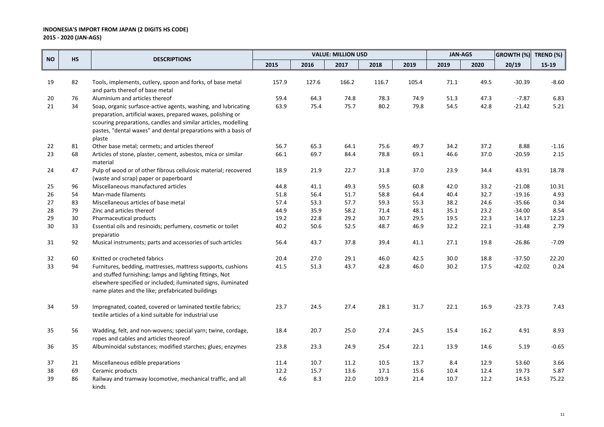|           |           |                                                                           |       |       | <b>VALUE: MILLION USD</b> |       |       | <b>JAN-AGS</b> |      | <b>GROWTH (%)</b> | TREND (%) |
|-----------|-----------|---------------------------------------------------------------------------|-------|-------|---------------------------|-------|-------|----------------|------|-------------------|-----------|
| <b>NO</b> | <b>HS</b> | <b>DESCRIPTIONS</b>                                                       | 2015  | 2016  | 2017                      | 2018  | 2019  | 2019           | 2020 | 20/19             | $15-19$   |
|           |           |                                                                           |       |       |                           |       |       |                |      |                   |           |
| 19        | 82        | Tools, implements, cutlery, spoon and forks, of base metal                | 157.9 | 127.6 | 166.2                     | 116.7 | 105.4 | 71.1           | 49.5 | $-30.39$          | $-8.60$   |
| 20        | 76        | and parts thereof of base metal<br>Aluminium and articles thereof         | 59.4  | 64.3  | 74.8                      | 78.3  | 74.9  | 51.3           | 47.3 | $-7.87$           | 6.83      |
| 21        | 34        | Soap, organic surfasce-active agents, washing, and lubricating            | 63.9  | 75.4  | 75.7                      | 80.2  | 79.8  | 54.5           | 42.8 | $-21.42$          | 5.21      |
|           |           | preparation, artificial waxes, prepared waxes, polishing or               |       |       |                           |       |       |                |      |                   |           |
|           |           | scouring preparations, candles and similar articles, modelling            |       |       |                           |       |       |                |      |                   |           |
|           |           | pastes, "dental waxes" and dental preparations with a basis of            |       |       |                           |       |       |                |      |                   |           |
|           |           | plaste                                                                    |       |       |                           |       |       |                |      |                   |           |
| 22        | 81        | Other base metal; cermets; and articles thereof                           | 56.7  | 65.3  | 64.1                      | 75.6  | 49.7  | 34.2           | 37.2 | 8.88              | $-1.16$   |
| 23        | 68        | Articles of stone, plaster, cement, asbestos, mica or similar             | 66.1  | 69.7  | 84.4                      | 78.8  | 69.1  | 46.6           | 37.0 | $-20.59$          | 2.15      |
|           |           | material                                                                  |       |       |                           |       |       |                |      |                   |           |
| 24        | 47        | Pulp of wood or of other fibrous cellulosic material; recovered           | 18.9  | 21.9  | 22.7                      | 31.8  | 37.0  | 23.9           | 34.4 | 43.91             | 18.78     |
|           |           | (waste and scrap) paper or paperboard                                     |       |       |                           |       |       |                |      |                   |           |
| 25        | 96        | Miscellaneous manufactured articles                                       | 44.8  | 41.1  | 49.3                      | 59.5  | 60.8  | 42.0           | 33.2 | $-21.08$          | 10.31     |
| 26        | 54        | Man-made filaments                                                        | 51.8  | 56.4  | 51.7                      | 58.8  | 64.4  | 40.4           | 32.7 | $-19.16$          | 4.93      |
| 27        | 83        | Miscellaneous articles of base metal                                      | 57.4  | 53.3  | 57.7                      | 59.3  | 55.3  | 38.2           | 24.6 | $-35.66$          | 0.34      |
| 28        | 79        | Zinc and articles thereof                                                 | 44.9  | 35.9  | 58.2                      | 71.4  | 48.1  | 35.1           | 23.2 | $-34.00$          | 8.54      |
| 29        | 30        | Pharmaceutical products                                                   | 19.2  | 22.8  | 29.2                      | 30.7  | 29.5  | 19.5           | 22.3 | 14.17             | 12.23     |
| 30        | 33        | Essential oils and resinoids; perfumery, cosmetic or toilet<br>preparatio | 40.2  | 50.6  | 52.5                      | 48.7  | 46.9  | 32.2           | 22.1 | $-31.48$          | 2.79      |
| 31        | 92        | Musical instruments; parts and accessories of such articles               | 56.4  | 43.7  | 37.8                      | 39.4  | 41.1  | 27.1           | 19.8 | $-26.86$          | $-7.09$   |
| 32        | 60        | Knitted or crocheted fabrics                                              | 20.4  | 27.0  | 29.1                      | 46.0  | 42.5  | 30.0           | 18.8 | $-37.50$          | 22.20     |
| 33        | 94        | Furnitures, bedding, mattresses, mattress supports, cushions              | 41.5  | 51.3  | 43.7                      | 42.8  | 46.0  | 30.2           | 17.5 | $-42.02$          | 0.24      |
|           |           | and stuffed furnishing; lamps and lighting fittings, Not                  |       |       |                           |       |       |                |      |                   |           |
|           |           | elsewhere specified or included; iluminated signs, iluminated             |       |       |                           |       |       |                |      |                   |           |
|           |           | name plates and the like; prefabricated buildings                         |       |       |                           |       |       |                |      |                   |           |
| 34        | 59        | Impregnated, coated, covered or laminated textile fabrics;                | 23.7  | 24.5  | 27.4                      | 28.1  | 31.7  | 22.1           | 16.9 | $-23.73$          | 7.43      |
|           |           | textile articles of a kind suitable for industrial use                    |       |       |                           |       |       |                |      |                   |           |
| 35        | 56        | Wadding, felt, and non-wovens; special yarn; twine, cordage,              | 18.4  | 20.7  | 25.0                      | 27.4  | 24.5  | 15.4           | 16.2 | 4.91              | 8.93      |
|           |           | ropes and cables and articles theoreof                                    |       |       |                           |       |       |                |      |                   |           |
| 36        | 35        | Albuminoidal substances; modified starches; glues; enzymes                | 23.8  | 23.3  | 24.9                      | 25.4  | 22.1  | 13.9           | 14.6 | 5.19              | $-0.65$   |
| 37        | 21        | Miscellaneous edible preparations                                         | 11.4  | 10.7  | 11.2                      | 10.5  | 13.7  | 8.4            | 12.9 | 53.60             | 3.66      |
| 38        | 69        | Ceramic products                                                          | 12.2  | 15.7  | 13.6                      | 17.1  | 15.6  | 10.4           | 12.4 | 19.73             | 5.87      |
| 39        | 86        | Railway and tramway locomotive, mechanical traffic, and all               | 4.6   | 8.3   | 22.0                      | 103.9 | 21.4  | 10.7           | 12.2 | 14.53             | 75.22     |
|           |           | kinds                                                                     |       |       |                           |       |       |                |      |                   |           |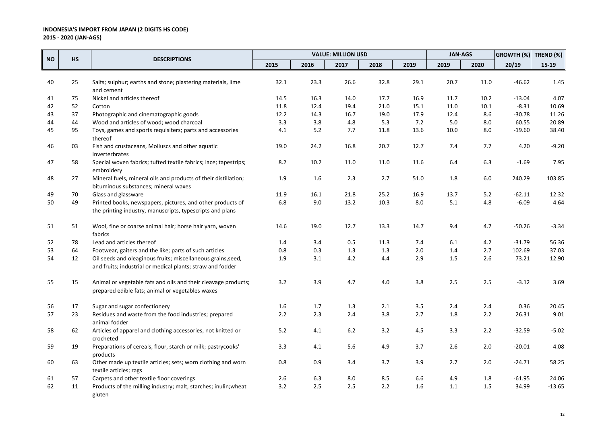|           |           |                                                                                                                            |         |      | <b>VALUE: MILLION USD</b> |         |      | <b>JAN-AGS</b> |       | <b>GROWTH (%)</b> | TREND (%) |
|-----------|-----------|----------------------------------------------------------------------------------------------------------------------------|---------|------|---------------------------|---------|------|----------------|-------|-------------------|-----------|
| <b>NO</b> | <b>HS</b> | <b>DESCRIPTIONS</b>                                                                                                        | 2015    | 2016 | 2017                      | 2018    | 2019 | 2019           | 2020  | 20/19             | $15-19$   |
|           |           |                                                                                                                            |         |      |                           |         |      |                |       |                   |           |
| 40        | 25        | Salts; sulphur; earths and stone; plastering materials, lime<br>and cement                                                 | 32.1    | 23.3 | 26.6                      | 32.8    | 29.1 | 20.7           | 11.0  | $-46.62$          | 1.45      |
| 41        | 75        | Nickel and articles thereof                                                                                                | 14.5    | 16.3 | 14.0                      | 17.7    | 16.9 | 11.7           | 10.2  | $-13.04$          | 4.07      |
| 42        | 52        | Cotton                                                                                                                     | 11.8    | 12.4 | 19.4                      | 21.0    | 15.1 | 11.0           | 10.1  | $-8.31$           | 10.69     |
| 43        | 37        | Photographic and cinematographic goods                                                                                     | 12.2    | 14.3 | 16.7                      | 19.0    | 17.9 | 12.4           | 8.6   | $-30.78$          | 11.26     |
| 44        | 44        | Wood and articles of wood; wood charcoal                                                                                   | 3.3     | 3.8  | 4.8                       | 5.3     | 7.2  | 5.0            | 8.0   | 60.55             | 20.89     |
| 45        | 95        | Toys, games and sports requisiters; parts and accessories<br>thereof                                                       | 4.1     | 5.2  | 7.7                       | 11.8    | 13.6 | 10.0           | 8.0   | $-19.60$          | 38.40     |
| 46        | 03        | Fish and crustaceans, Molluscs and other aquatic<br>inverterbrates                                                         | 19.0    | 24.2 | 16.8                      | 20.7    | 12.7 | 7.4            | 7.7   | 4.20              | $-9.20$   |
| 47        | 58        | Special woven fabrics; tufted textile fabrics; lace; tapestrips;<br>embroidery                                             | 8.2     | 10.2 | 11.0                      | 11.0    | 11.6 | 6.4            | 6.3   | $-1.69$           | 7.95      |
| 48        | 27        | Mineral fuels, mineral oils and products of their distillation;<br>bituminous substances; mineral waxes                    | 1.9     | 1.6  | 2.3                       | 2.7     | 51.0 | 1.8            | 6.0   | 240.29            | 103.85    |
| 49        | 70        | Glass and glassware                                                                                                        | 11.9    | 16.1 | 21.8                      | 25.2    | 16.9 | 13.7           | $5.2$ | $-62.11$          | 12.32     |
| 50        | 49        | Printed books, newspapers, pictures, and other products of<br>the printing industry, manuscripts, typescripts and plans    | 6.8     | 9.0  | 13.2                      | 10.3    | 8.0  | 5.1            | 4.8   | $-6.09$           | 4.64      |
| 51        | 51        | Wool, fine or coarse animal hair; horse hair yarn, woven<br>fabrics                                                        | 14.6    | 19.0 | 12.7                      | 13.3    | 14.7 | 9.4            | 4.7   | $-50.26$          | $-3.34$   |
| 52        | 78        | Lead and articles thereof                                                                                                  | 1.4     | 3.4  | 0.5                       | 11.3    | 7.4  | 6.1            | 4.2   | $-31.79$          | 56.36     |
| 53        | 64        | Footwear, gaiters and the like; parts of such articles                                                                     | $0.8\,$ | 0.3  | 1.3                       | $1.3\,$ | 2.0  | $1.4\,$        | 2.7   | 102.69            | 37.03     |
| 54        | 12        | Oil seeds and oleaginous fruits; miscellaneous grains, seed,<br>and fruits; industrial or medical plants; straw and fodder | 1.9     | 3.1  | 4.2                       | 4.4     | 2.9  | 1.5            | 2.6   | 73.21             | 12.90     |
| 55        | 15        | Animal or vegetable fats and oils and their cleavage products;<br>prepared edible fats; animal or vegetables waxes         | 3.2     | 3.9  | 4.7                       | 4.0     | 3.8  | 2.5            | 2.5   | $-3.12$           | 3.69      |
| 56        | 17        | Sugar and sugar confectionery                                                                                              | 1.6     | 1.7  | 1.3                       | 2.1     | 3.5  | 2.4            | 2.4   | 0.36              | 20.45     |
| 57        | 23        | Residues and waste from the food industries; prepared<br>animal fodder                                                     | 2.2     | 2.3  | 2.4                       | 3.8     | 2.7  | 1.8            | 2.2   | 26.31             | 9.01      |
| 58        | 62        | Articles of apparel and clothing accessories, not knitted or<br>crocheted                                                  | 5.2     | 4.1  | $6.2$                     | 3.2     | 4.5  | 3.3            | 2.2   | $-32.59$          | $-5.02$   |
| 59        | 19        | Preparations of cereals, flour, starch or milk; pastrycooks'<br>products                                                   | 3.3     | 4.1  | 5.6                       | 4.9     | 3.7  | 2.6            | 2.0   | $-20.01$          | 4.08      |
| 60        | 63        | Other made up textile articles; sets; worn clothing and worn<br>textile articles; rags                                     | 0.8     | 0.9  | 3.4                       | 3.7     | 3.9  | 2.7            | 2.0   | $-24.71$          | 58.25     |
| 61        | 57        | Carpets and other textile floor coverings                                                                                  | 2.6     | 6.3  | 8.0                       | 8.5     | 6.6  | 4.9            | 1.8   | $-61.95$          | 24.06     |
| 62        | 11        | Products of the milling industry; malt, starches; inulin; wheat<br>gluten                                                  | 3.2     | 2.5  | 2.5                       | 2.2     | 1.6  | 1.1            | 1.5   | 34.99             | $-13.65$  |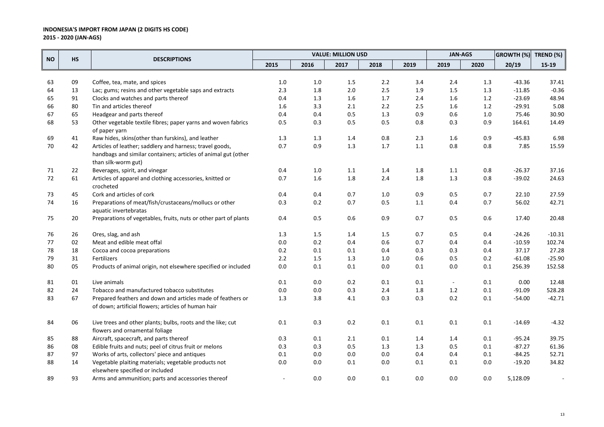|           |           |                                                                                         |         |         | <b>VALUE: MILLION USD</b> |         |         | <b>JAN-AGS</b>           |         | GROWTH (%) TREND (%) |          |
|-----------|-----------|-----------------------------------------------------------------------------------------|---------|---------|---------------------------|---------|---------|--------------------------|---------|----------------------|----------|
| <b>NO</b> | <b>HS</b> | <b>DESCRIPTIONS</b>                                                                     | 2015    | 2016    | 2017                      | 2018    | 2019    | 2019                     | 2020    | 20/19                | $15-19$  |
|           |           |                                                                                         |         |         |                           |         |         |                          |         |                      |          |
| 63        | 09        | Coffee, tea, mate, and spices                                                           | $1.0\,$ | $1.0\,$ | 1.5                       | 2.2     | 3.4     | 2.4                      | 1.3     | $-43.36$             | 37.41    |
| 64        | 13        | Lac; gums; resins and other vegetable saps and extracts                                 | 2.3     | $1.8\,$ | 2.0                       | $2.5$   | 1.9     | 1.5                      | 1.3     | $-11.85$             | $-0.36$  |
| 65        | 91        | Clocks and watches and parts thereof                                                    | 0.4     | 1.3     | 1.6                       | 1.7     | 2.4     | $1.6\,$                  | $1.2$   | $-23.69$             | 48.94    |
| 66        | 80        | Tin and articles thereof                                                                | 1.6     | 3.3     | 2.1                       | 2.2     | 2.5     | 1.6                      | $1.2$   | $-29.91$             | 5.08     |
| 67        | 65        | Headgear and parts thereof                                                              | 0.4     | 0.4     | 0.5                       | 1.3     | 0.9     | $0.6\,$                  | $1.0\,$ | 75.46                | 30.90    |
| 68        | 53        | Other vegetable textile fibres; paper yarns and woven fabrics<br>of paper yarn          | 0.5     | 0.3     | 0.5                       | 0.5     | 0.8     | 0.3                      | 0.9     | 164.61               | 14.49    |
| 69        | 41        | Raw hides, skins(other than furskins), and leather                                      | 1.3     | 1.3     | 1.4                       | 0.8     | 2.3     | 1.6                      | 0.9     | $-45.83$             | 6.98     |
| 70        | 42        | Articles of leather; saddlery and harness; travel goods,                                | 0.7     | 0.9     | 1.3                       | 1.7     | $1.1\,$ | $0.8\,$                  | 0.8     | 7.85                 | 15.59    |
|           |           | handbags and similar containers; articles of animal gut (other<br>than silk-worm gut)   |         |         |                           |         |         |                          |         |                      |          |
| 71        | 22        | Beverages, spirit, and vinegar                                                          | 0.4     | $1.0\,$ | $1.1\,$                   | 1.4     | 1.8     | $1.1\,$                  | 0.8     | $-26.37$             | 37.16    |
| 72        | 61        | Articles of apparel and clothing accessories, knitted or                                | 0.7     | $1.6\,$ | 1.8                       | 2.4     | 1.8     | $1.3\,$                  | 0.8     | $-39.02$             | 24.63    |
|           | 45        | crocheted<br>Cork and articles of cork                                                  | 0.4     | 0.4     | 0.7                       | 1.0     |         | 0.5                      | 0.7     | 22.10                | 27.59    |
| 73        |           |                                                                                         | 0.3     | 0.2     | 0.7                       | 0.5     | 0.9     | 0.4                      | 0.7     | 56.02                | 42.71    |
| 74        | 16        | Preparations of meat/fish/crustaceans/mollucs or other<br>aquatic invertebratas         |         |         |                           |         | $1.1\,$ |                          |         |                      |          |
| 75        | 20        | Preparations of vegetables, fruits, nuts or other part of plants                        | 0.4     | 0.5     | 0.6                       | 0.9     | 0.7     | 0.5                      | 0.6     | 17.40                | 20.48    |
| 76        | 26        | Ores, slag, and ash                                                                     | 1.3     | $1.5\,$ | 1.4                       | 1.5     | 0.7     | 0.5                      | 0.4     | $-24.26$             | $-10.31$ |
| 77        | 02        | Meat and edible meat offal                                                              | 0.0     | 0.2     | 0.4                       | 0.6     | 0.7     | 0.4                      | 0.4     | $-10.59$             | 102.74   |
| 78        | 18        | Cocoa and cocoa preparations                                                            | 0.2     | 0.1     | 0.1                       | 0.4     | 0.3     | 0.3                      | 0.4     | 37.17                | 27.28    |
| 79        | 31        | Fertilizers                                                                             | 2.2     | $1.5\,$ | 1.3                       | $1.0\,$ | 0.6     | 0.5                      | 0.2     | $-61.08$             | $-25.90$ |
| 80        | 05        | Products of animal origin, not elsewhere specified or included                          | 0.0     | 0.1     | 0.1                       | 0.0     | 0.1     | 0.0                      | 0.1     | 256.39               | 152.58   |
| 81        | 01        | Live animals                                                                            | 0.1     | 0.0     | 0.2                       | 0.1     | 0.1     | $\overline{\phantom{a}}$ | 0.1     | 0.00                 | 12.48    |
| 82        | 24        | Tobacco and manufactured tobacco substitutes                                            | $0.0\,$ | $0.0\,$ | 0.3                       | 2.4     | 1.8     | $1.2\,$                  | $0.1\,$ | $-91.09$             | 528.28   |
| 83        | 67        | Prepared feathers and down and articles made of feathers or                             | 1.3     | 3.8     | 4.1                       | 0.3     | 0.3     | 0.2                      | 0.1     | $-54.00$             | $-42.71$ |
|           |           | of down; artificial flowers; articles of human hair                                     |         |         |                           |         |         |                          |         |                      |          |
| 84        | 06        | Live trees and other plants; bulbs, roots and the like; cut                             | 0.1     | 0.3     | 0.2                       | 0.1     | 0.1     | 0.1                      | 0.1     | $-14.69$             | $-4.32$  |
|           |           | flowers and ornamental foliage                                                          |         |         |                           |         |         |                          |         |                      |          |
| 85        | 88        | Aircraft, spacecraft, and parts thereof                                                 | 0.3     | 0.1     | 2.1                       | 0.1     | 1.4     | 1.4                      | 0.1     | $-95.24$             | 39.75    |
| 86        | 08        | Edible fruits and nuts; peel of citrus fruit or melons                                  | 0.3     | 0.3     | 0.5                       | 1.3     | 1.3     | 0.5                      | 0.1     | $-87.27$             | 61.36    |
| 87        | 97        | Works of arts, collectors' piece and antiques                                           | 0.1     | 0.0     | 0.0                       | 0.0     | 0.4     | 0.4                      | 0.1     | $-84.25$             | 52.71    |
| 88        | 14        | Vegetable plaiting materials; vegetable products not<br>elsewhere specified or included | 0.0     | 0.0     | 0.1                       | 0.0     | 0.1     | 0.1                      | 0.0     | $-19.20$             | 34.82    |
| 89        | 93        | Arms and ammunition; parts and accessories thereof                                      |         | 0.0     | 0.0                       | 0.1     | 0.0     | 0.0                      | 0.0     | 5,128.09             |          |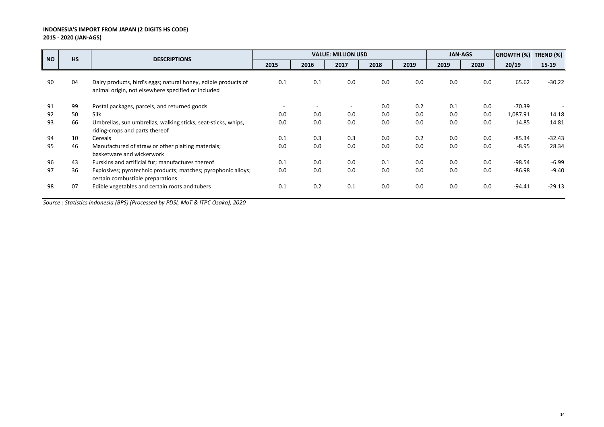| <b>NO</b> | <b>HS</b> | <b>DESCRIPTIONS</b>                                                                                                  |                          |      | <b>VALUE: MILLION USD</b> |      |      | <b>JAN-AGS</b> |      | GROWTH (%) | TREND (%) |
|-----------|-----------|----------------------------------------------------------------------------------------------------------------------|--------------------------|------|---------------------------|------|------|----------------|------|------------|-----------|
|           |           |                                                                                                                      | 2015                     | 2016 | 2017                      | 2018 | 2019 | 2019           | 2020 | 20/19      | $15-19$   |
| 90        | 04        | Dairy products, bird's eggs; natural honey, edible products of<br>animal origin, not elsewhere specified or included | 0.1                      | 0.1  | 0.0                       | 0.0  | 0.0  | 0.0            | 0.0  | 65.62      | $-30.22$  |
| 91        | 99        | Postal packages, parcels, and returned goods                                                                         | $\overline{\phantom{a}}$ |      |                           | 0.0  | 0.2  | 0.1            | 0.0  | $-70.39$   |           |
| 92        | 50        | <b>Silk</b>                                                                                                          | 0.0                      | 0.0  | 0.0                       | 0.0  | 0.0  | 0.0            | 0.0  | 1,087.91   | 14.18     |
| 93        | 66        | Umbrellas, sun umbrellas, walking sticks, seat-sticks, whips,<br>riding-crops and parts thereof                      | 0.0                      | 0.0  | 0.0                       | 0.0  | 0.0  | 0.0            | 0.0  | 14.85      | 14.81     |
| 94        | 10        | Cereals                                                                                                              | 0.1                      | 0.3  | 0.3                       | 0.0  | 0.2  | 0.0            | 0.0  | $-85.34$   | $-32.43$  |
| 95        | 46        | Manufactured of straw or other plaiting materials;<br>basketware and wickerwork                                      | 0.0                      | 0.0  | 0.0                       | 0.0  | 0.0  | 0.0            | 0.0  | $-8.95$    | 28.34     |
| 96        | 43        | Furskins and artificial fur; manufactures thereof                                                                    | 0.1                      | 0.0  | 0.0                       | 0.1  | 0.0  | 0.0            | 0.0  | $-98.54$   | $-6.99$   |
| 97        | 36        | Explosives; pyrotechnic products; matches; pyrophonic alloys;<br>certain combustible preparations                    | 0.0                      | 0.0  | 0.0                       | 0.0  | 0.0  | 0.0            | 0.0  | $-86.98$   | $-9.40$   |
| 98        | 07        | Edible vegetables and certain roots and tubers                                                                       | 0.1                      | 0.2  | 0.1                       | 0.0  | 0.0  | 0.0            | 0.0  | $-94.41$   | $-29.13$  |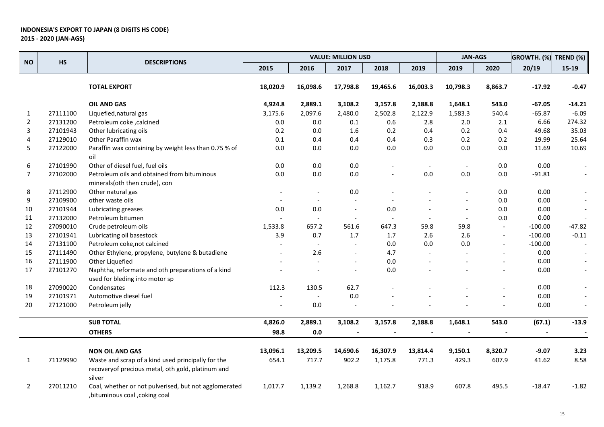|                |          |                                                                                                                   |          |                          | <b>VALUE: MILLION USD</b> |                          |                          | <b>JAN-AGS</b>           |                          | <b>GROWTH. (%)</b> | TREND $(\%)$             |
|----------------|----------|-------------------------------------------------------------------------------------------------------------------|----------|--------------------------|---------------------------|--------------------------|--------------------------|--------------------------|--------------------------|--------------------|--------------------------|
| <b>NO</b>      | HS       | <b>DESCRIPTIONS</b>                                                                                               | 2015     | 2016                     | 2017                      | 2018                     | 2019                     | 2019                     | 2020                     | 20/19              | $15-19$                  |
|                |          | <b>TOTAL EXPORT</b>                                                                                               | 18,020.9 | 16,098.6                 | 17,798.8                  | 19,465.6                 | 16,003.3                 | 10,798.3                 | 8,863.7                  | $-17.92$           | $-0.47$                  |
|                |          | <b>OIL AND GAS</b>                                                                                                | 4,924.8  | 2,889.1                  | 3,108.2                   | 3,157.8                  | 2,188.8                  | 1,648.1                  | 543.0                    | $-67.05$           | $-14.21$                 |
| 1              | 27111100 | Liquefied, natural gas                                                                                            | 3,175.6  | 2,097.6                  | 2,480.0                   | 2,502.8                  | 2,122.9                  | 1,583.3                  | 540.4                    | $-65.87$           | $-6.09$                  |
| 2              | 27131200 | Petroleum coke, calcined                                                                                          | 0.0      | 0.0                      | 0.1                       | 0.6                      | 2.8                      | 2.0                      | 2.1                      | 6.66               | 274.32                   |
| 3              | 27101943 | Other lubricating oils                                                                                            | 0.2      | 0.0                      | 1.6                       | 0.2                      | 0.4                      | 0.2                      | 0.4                      | 49.68              | 35.03                    |
| 4              | 27129010 | Other Paraffin wax                                                                                                | 0.1      | 0.4                      | 0.4                       | 0.4                      | 0.3                      | 0.2                      | 0.2                      | 19.99              | 25.64                    |
| 5              | 27122000 | Paraffin wax containing by weight less than 0.75 % of<br>oil                                                      | $0.0\,$  | 0.0                      | $0.0\,$                   | 0.0                      | 0.0                      | 0.0                      | 0.0                      | 11.69              | 10.69                    |
| 6              | 27101990 | Other of diesel fuel, fuel oils                                                                                   | $0.0\,$  | 0.0                      | $0.0\,$                   |                          |                          |                          | 0.0                      | 0.00               |                          |
| $\overline{7}$ | 27102000 | Petroleum oils and obtained from bituminous<br>minerals(oth then crude), con                                      | 0.0      | 0.0                      | 0.0                       | $\overline{\phantom{a}}$ | $0.0\,$                  | $0.0\,$                  | 0.0                      | $-91.81$           | $\overline{\phantom{a}}$ |
| 8              | 27112900 | Other natural gas                                                                                                 |          |                          | $0.0\,$                   |                          |                          |                          | 0.0                      | 0.00               |                          |
| 9              | 27109900 | other waste oils                                                                                                  |          |                          |                           |                          |                          |                          | 0.0                      | 0.00               |                          |
| 10             | 27101944 | Lubricating greases                                                                                               | $0.0\,$  | 0.0                      |                           | 0.0                      |                          | $\overline{\phantom{a}}$ | 0.0                      | 0.00               | $\overline{a}$           |
| 11             | 27132000 | Petroleum bitumen                                                                                                 |          | $\overline{\phantom{a}}$ |                           | $\overline{\phantom{a}}$ |                          | $\overline{\phantom{a}}$ | 0.0                      | 0.00               |                          |
| 12             | 27090010 | Crude petroleum oils                                                                                              | 1,533.8  | 657.2                    | 561.6                     | 647.3                    | 59.8                     | 59.8                     | $\overline{a}$           | $-100.00$          | $-47.82$                 |
| 13             | 27101941 | Lubricating oil basestock                                                                                         | 3.9      | 0.7                      | 1.7                       | 1.7                      | 2.6                      | 2.6                      | $\overline{\phantom{a}}$ | $-100.00$          | $-0.11$                  |
| 14             | 27131100 | Petroleum coke, not calcined                                                                                      |          | $\overline{\phantom{a}}$ |                           | 0.0                      | 0.0                      | $0.0\,$                  | $\overline{\phantom{a}}$ | $-100.00$          |                          |
| 15             | 27111490 | Other Ethylene, propylene, butylene & butadiene                                                                   |          | 2.6                      |                           | 4.7                      |                          |                          |                          | 0.00               |                          |
| 16             | 27111900 | Other Liquefied                                                                                                   |          |                          |                           | 0.0                      |                          |                          |                          | 0.00               |                          |
| 17             | 27101270 | Naphtha, reformate and oth preparations of a kind<br>used for bleding into motor sp                               |          |                          |                           | 0.0                      |                          |                          |                          | 0.00               |                          |
| 18             | 27090020 | Condensates                                                                                                       | 112.3    | 130.5                    | 62.7                      |                          |                          |                          |                          | 0.00               |                          |
| 19             | 27101971 | Automotive diesel fuel                                                                                            |          |                          | 0.0                       |                          |                          |                          |                          | 0.00               |                          |
| 20             | 27121000 | Petroleum jelly                                                                                                   |          | 0.0                      |                           |                          |                          |                          |                          | 0.00               |                          |
|                |          | <b>SUB TOTAL</b>                                                                                                  | 4,826.0  | 2,889.1                  | 3,108.2                   | 3,157.8                  | 2,188.8                  | 1,648.1                  | 543.0                    | (67.1)             | $-13.9$                  |
|                |          | <b>OTHERS</b>                                                                                                     | 98.8     | 0.0                      | $\overline{\phantom{a}}$  | $\overline{\phantom{a}}$ | $\overline{\phantom{a}}$ |                          |                          | $\blacksquare$     | $\overline{\phantom{a}}$ |
|                |          | <b>NON OIL AND GAS</b>                                                                                            | 13,096.1 | 13,209.5                 | 14,690.6                  | 16,307.9                 | 13,814.4                 | 9,150.1                  | 8,320.7                  | $-9.07$            | 3.23                     |
| 1              | 71129990 | Waste and scrap of a kind used principally for the<br>recoveryof precious metal, oth gold, platinum and<br>silver | 654.1    | 717.7                    | 902.2                     | 1,175.8                  | 771.3                    | 429.3                    | 607.9                    | 41.62              | 8.58                     |
| 2              | 27011210 | Coal, whether or not pulverised, but not agglomerated<br>, bituminous coal, coking coal                           | 1,017.7  | 1,139.2                  | 1,268.8                   | 1,162.7                  | 918.9                    | 607.8                    | 495.5                    | $-18.47$           | $-1.82$                  |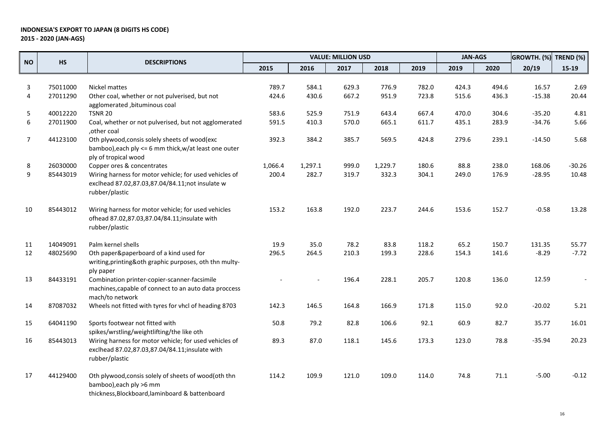|                |           |                                                                                                                                    |         |         | <b>VALUE: MILLION USD</b> |         |       |       | <b>JAN-AGS</b><br>GROWTH. (%) |          | TREND (%) |
|----------------|-----------|------------------------------------------------------------------------------------------------------------------------------------|---------|---------|---------------------------|---------|-------|-------|-------------------------------|----------|-----------|
| <b>NO</b>      | <b>HS</b> | <b>DESCRIPTIONS</b>                                                                                                                | 2015    | 2016    | 2017                      | 2018    | 2019  | 2019  | 2020                          | 20/19    | $15-19$   |
|                |           |                                                                                                                                    |         |         |                           |         |       |       |                               |          |           |
| 3              | 75011000  | Nickel mattes                                                                                                                      | 789.7   | 584.1   | 629.3                     | 776.9   | 782.0 | 424.3 | 494.6                         | 16.57    | 2.69      |
| 4              | 27011290  | Other coal, whether or not pulverised, but not<br>agglomerated, bituminous coal                                                    | 424.6   | 430.6   | 667.2                     | 951.9   | 723.8 | 515.6 | 436.3                         | $-15.38$ | 20.44     |
| 5              | 40012220  | <b>TSNR 20</b>                                                                                                                     | 583.6   | 525.9   | 751.9                     | 643.4   | 667.4 | 470.0 | 304.6                         | $-35.20$ | 4.81      |
| 6              | 27011900  | Coal, whether or not pulverised, but not agglomerated<br>,other coal                                                               | 591.5   | 410.3   | 570.0                     | 665.1   | 611.7 | 435.1 | 283.9                         | $-34.76$ | 5.66      |
| $\overline{7}$ | 44123100  | Oth plywood, consis solely sheets of wood(exc<br>bamboo), each ply <= 6 mm thick, w/at least one outer<br>ply of tropical wood     | 392.3   | 384.2   | 385.7                     | 569.5   | 424.8 | 279.6 | 239.1                         | $-14.50$ | 5.68      |
| 8              | 26030000  | Copper ores & concentrates                                                                                                         | 1,066.4 | 1,297.1 | 999.0                     | 1,229.7 | 180.6 | 88.8  | 238.0                         | 168.06   | $-30.26$  |
| 9              | 85443019  | Wiring harness for motor vehicle; for used vehicles of<br>exclhead 87.02,87.03,87.04/84.11;not insulate w<br>rubber/plastic        | 200.4   | 282.7   | 319.7                     | 332.3   | 304.1 | 249.0 | 176.9                         | $-28.95$ | 10.48     |
| 10             | 85443012  | Wiring harness for motor vehicle; for used vehicles<br>ofhead 87.02,87.03,87.04/84.11;insulate with<br>rubber/plastic              | 153.2   | 163.8   | 192.0                     | 223.7   | 244.6 | 153.6 | 152.7                         | $-0.58$  | 13.28     |
| 11             | 14049091  | Palm kernel shells                                                                                                                 | 19.9    | 35.0    | 78.2                      | 83.8    | 118.2 | 65.2  | 150.7                         | 131.35   | 55.77     |
| 12             | 48025690  | Oth paper&paperboard of a kind used for<br>writing, printing&oth graphic purposes, oth thn multy-<br>ply paper                     | 296.5   | 264.5   | 210.3                     | 199.3   | 228.6 | 154.3 | 141.6                         | $-8.29$  | $-7.72$   |
| 13             | 84433191  | Combination printer-copier-scanner-facsimile<br>machines, capable of connect to an auto data proccess<br>mach/to network           |         |         | 196.4                     | 228.1   | 205.7 | 120.8 | 136.0                         | 12.59    |           |
| 14             | 87087032  | Wheels not fitted with tyres for vhcl of heading 8703                                                                              | 142.3   | 146.5   | 164.8                     | 166.9   | 171.8 | 115.0 | 92.0                          | $-20.02$ | 5.21      |
| 15             | 64041190  | Sports footwear not fitted with<br>spikes/wrstling/weightlifting/the like oth                                                      | 50.8    | 79.2    | 82.8                      | 106.6   | 92.1  | 60.9  | 82.7                          | 35.77    | 16.01     |
| 16             | 85443013  | Wiring harness for motor vehicle; for used vehicles of<br>exclhead 87.02,87.03,87.04/84.11;insulate with<br>rubber/plastic         | 89.3    | 87.0    | 118.1                     | 145.6   | 173.3 | 123.0 | 78.8                          | $-35.94$ | 20.23     |
| 17             | 44129400  | Oth plywood, consis solely of sheets of wood(oth thn<br>bamboo), each ply >6 mm<br>thickness, Blockboard, laminboard & battenboard | 114.2   | 109.9   | 121.0                     | 109.0   | 114.0 | 74.8  | 71.1                          | $-5.00$  | $-0.12$   |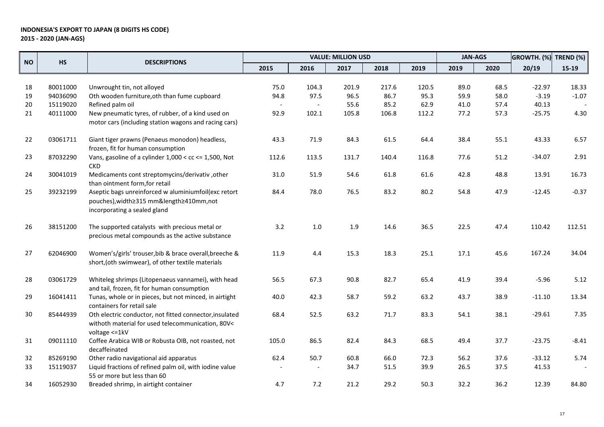|           |          | <b>DESCRIPTIONS</b>                                                                                                              | <b>JAN-AGS</b><br><b>VALUE: MILLION USD</b> |                |       |       | GROWTH. (%) | TREND (%) |      |          |         |
|-----------|----------|----------------------------------------------------------------------------------------------------------------------------------|---------------------------------------------|----------------|-------|-------|-------------|-----------|------|----------|---------|
| <b>NO</b> | HS       |                                                                                                                                  | 2015                                        | 2016           | 2017  | 2018  | 2019        | 2019      | 2020 | 20/19    | $15-19$ |
|           |          |                                                                                                                                  |                                             |                |       |       |             |           |      |          |         |
| 18        | 80011000 | Unwrought tin, not alloyed                                                                                                       | 75.0                                        | 104.3          | 201.9 | 217.6 | 120.5       | 89.0      | 68.5 | $-22.97$ | 18.33   |
| 19        | 94036090 | Oth wooden furniture, oth than fume cupboard                                                                                     | 94.8                                        | 97.5           | 96.5  | 86.7  | 95.3        | 59.9      | 58.0 | $-3.19$  | $-1.07$ |
| 20        | 15119020 | Refined palm oil                                                                                                                 |                                             | $\blacksquare$ | 55.6  | 85.2  | 62.9        | 41.0      | 57.4 | 40.13    |         |
| 21        | 40111000 | New pneumatic tyres, of rubber, of a kind used on<br>motor cars (including station wagons and racing cars)                       | 92.9                                        | 102.1          | 105.8 | 106.8 | 112.2       | 77.2      | 57.3 | $-25.75$ | 4.30    |
| 22        | 03061711 | Giant tiger prawns (Penaeus monodon) headless,<br>frozen, fit for human consumption                                              | 43.3                                        | 71.9           | 84.3  | 61.5  | 64.4        | 38.4      | 55.1 | 43.33    | 6.57    |
| 23        | 87032290 | Vans, gasoline of a cylinder $1,000 <$ cc <= 1,500, Not<br><b>CKD</b>                                                            | 112.6                                       | 113.5          | 131.7 | 140.4 | 116.8       | 77.6      | 51.2 | $-34.07$ | 2.91    |
| 24        | 30041019 | Medicaments cont streptomycins/derivativ, other<br>than ointment form, for retail                                                | 31.0                                        | 51.9           | 54.6  | 61.8  | 61.6        | 42.8      | 48.8 | 13.91    | 16.73   |
| 25        | 39232199 | Aseptic bags unreinforced w aluminiumfoil(exc retort<br>pouches), width≥315 mm&length≥410mm, not<br>incorporating a sealed gland | 84.4                                        | 78.0           | 76.5  | 83.2  | 80.2        | 54.8      | 47.9 | $-12.45$ | $-0.37$ |
| 26        | 38151200 | The supported catalysts with precious metal or<br>precious metal compounds as the active substance                               | 3.2                                         | $1.0\,$        | 1.9   | 14.6  | 36.5        | 22.5      | 47.4 | 110.42   | 112.51  |
| 27        | 62046900 | Women's/girls' trouser, bib & brace overall, breeche &<br>short, (oth swimwear), of other textile materials                      | 11.9                                        | 4.4            | 15.3  | 18.3  | 25.1        | 17.1      | 45.6 | 167.24   | 34.04   |
| 28        | 03061729 | Whiteleg shrimps (Litopenaeus vannamei), with head<br>and tail, frozen, fit for human consumption                                | 56.5                                        | 67.3           | 90.8  | 82.7  | 65.4        | 41.9      | 39.4 | $-5.96$  | 5.12    |
| 29        | 16041411 | Tunas, whole or in pieces, but not minced, in airtight<br>containers for retail sale                                             | 40.0                                        | 42.3           | 58.7  | 59.2  | 63.2        | 43.7      | 38.9 | $-11.10$ | 13.34   |
| 30        | 85444939 | Oth electric conductor, not fitted connector, insulated<br>withoth material for used telecommunication, 80V<<br>voltage <= 1kV   | 68.4                                        | 52.5           | 63.2  | 71.7  | 83.3        | 54.1      | 38.1 | $-29.61$ | 7.35    |
| 31        | 09011110 | Coffee Arabica WIB or Robusta OIB, not roasted, not<br>decaffeinated                                                             | 105.0                                       | 86.5           | 82.4  | 84.3  | 68.5        | 49.4      | 37.7 | $-23.75$ | $-8.41$ |
| 32        | 85269190 | Other radio navigational aid apparatus                                                                                           | 62.4                                        | 50.7           | 60.8  | 66.0  | 72.3        | 56.2      | 37.6 | $-33.12$ | 5.74    |
| 33        | 15119037 | Liquid fractions of refined palm oil, with iodine value<br>55 or more but less than 60                                           |                                             |                | 34.7  | 51.5  | 39.9        | 26.5      | 37.5 | 41.53    |         |
| 34        | 16052930 | Breaded shrimp, in airtight container                                                                                            | 4.7                                         | 7.2            | 21.2  | 29.2  | 50.3        | 32.2      | 36.2 | 12.39    | 84.80   |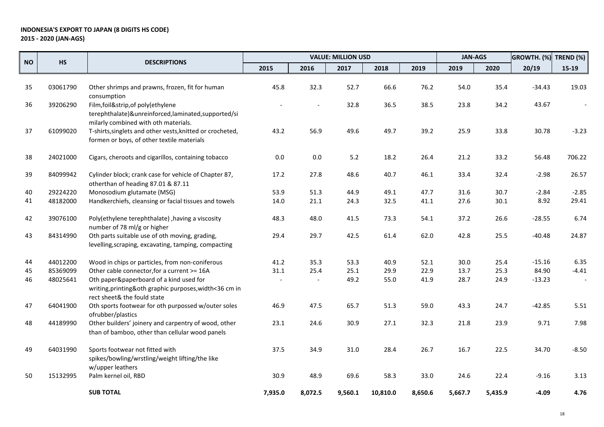|           |           |                                                                                                                                  | <b>VALUE: MILLION USD</b> |         |         |          | <b>JAN-AGS</b> |         | GROWTH. (%) | TREND (%) |         |
|-----------|-----------|----------------------------------------------------------------------------------------------------------------------------------|---------------------------|---------|---------|----------|----------------|---------|-------------|-----------|---------|
| <b>NO</b> | <b>HS</b> | <b>DESCRIPTIONS</b>                                                                                                              | 2015                      | 2016    | 2017    | 2018     | 2019           | 2019    | 2020        | 20/19     | $15-19$ |
|           |           |                                                                                                                                  |                           |         |         |          |                |         |             |           |         |
| 35        | 03061790  | Other shrimps and prawns, frozen, fit for human<br>consumption                                                                   | 45.8                      | 32.3    | 52.7    | 66.6     | 76.2           | 54.0    | 35.4        | $-34.43$  | 19.03   |
| 36        | 39206290  | Film, foil&strip, of poly(ethylene<br>terephthalate)&unreinforced,laminated,supported/si<br>milarly combined with oth materials. |                           |         | 32.8    | 36.5     | 38.5           | 23.8    | 34.2        | 43.67     |         |
| 37        | 61099020  | T-shirts, singlets and other vests, knitted or crocheted,<br>formen or boys, of other textile materials                          | 43.2                      | 56.9    | 49.6    | 49.7     | 39.2           | 25.9    | 33.8        | 30.78     | $-3.23$ |
| 38        | 24021000  | Cigars, cheroots and cigarillos, containing tobacco                                                                              | 0.0                       | 0.0     | 5.2     | 18.2     | 26.4           | 21.2    | 33.2        | 56.48     | 706.22  |
| 39        | 84099942  | Cylinder block; crank case for vehicle of Chapter 87,<br>otherthan of heading 87.01 & 87.11                                      | 17.2                      | 27.8    | 48.6    | 40.7     | 46.1           | 33.4    | 32.4        | $-2.98$   | 26.57   |
| 40        | 29224220  | Monosodium glutamate (MSG)                                                                                                       | 53.9                      | 51.3    | 44.9    | 49.1     | 47.7           | 31.6    | 30.7        | $-2.84$   | $-2.85$ |
| 41        | 48182000  | Handkerchiefs, cleansing or facial tissues and towels                                                                            | 14.0                      | 21.1    | 24.3    | 32.5     | 41.1           | 27.6    | 30.1        | 8.92      | 29.41   |
| 42        | 39076100  | Poly(ethylene terephthalate), having a viscosity<br>number of 78 ml/g or higher                                                  | 48.3                      | 48.0    | 41.5    | 73.3     | 54.1           | 37.2    | 26.6        | $-28.55$  | 6.74    |
| 43        | 84314990  | Oth parts suitable use of oth moving, grading,<br>levelling, scraping, excavating, tamping, compacting                           | 29.4                      | 29.7    | 42.5    | 61.4     | 62.0           | 42.8    | 25.5        | $-40.48$  | 24.87   |
| 44        | 44012200  | Wood in chips or particles, from non-coniferous                                                                                  | 41.2                      | 35.3    | 53.3    | 40.9     | 52.1           | 30.0    | 25.4        | $-15.16$  | 6.35    |
| 45        | 85369099  | Other cable connector, for a current >= 16A                                                                                      | 31.1                      | 25.4    | 25.1    | 29.9     | 22.9           | 13.7    | 25.3        | 84.90     | $-4.41$ |
| 46        | 48025641  | Oth paper&paperboard of a kind used for<br>writing, printing&oth graphic purposes, width<36 cm in<br>rect sheet& the fould state |                           |         | 49.2    | 55.0     | 41.9           | 28.7    | 24.9        | $-13.23$  |         |
| 47        | 64041900  | Oth sports footwear for oth purpossed w/outer soles<br>ofrubber/plastics                                                         | 46.9                      | 47.5    | 65.7    | 51.3     | 59.0           | 43.3    | 24.7        | $-42.85$  | 5.51    |
| 48        | 44189990  | Other builders' joinery and carpentry of wood, other<br>than of bamboo, other than cellular wood panels                          | 23.1                      | 24.6    | 30.9    | 27.1     | 32.3           | 21.8    | 23.9        | 9.71      | 7.98    |
| 49        | 64031990  | Sports footwear not fitted with<br>spikes/bowling/wrstling/weight lifting/the like<br>w/upper leathers                           | 37.5                      | 34.9    | 31.0    | 28.4     | 26.7           | 16.7    | 22.5        | 34.70     | $-8.50$ |
| 50        | 15132995  | Palm kernel oil, RBD                                                                                                             | 30.9                      | 48.9    | 69.6    | 58.3     | 33.0           | 24.6    | 22.4        | $-9.16$   | 3.13    |
|           |           | <b>SUB TOTAL</b>                                                                                                                 | 7,935.0                   | 8,072.5 | 9,560.1 | 10,810.0 | 8,650.6        | 5,667.7 | 5,435.9     | $-4.09$   | 4.76    |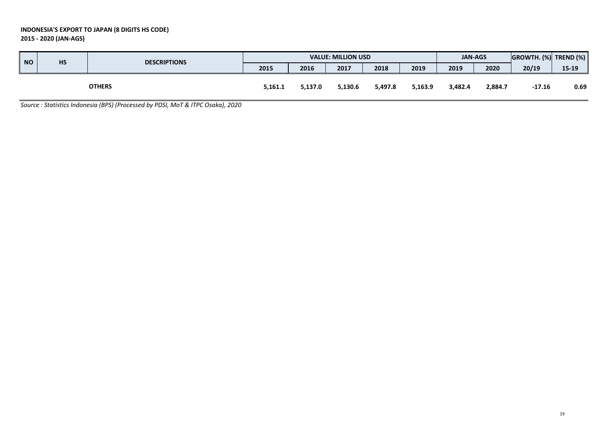| $\overline{\phantom{a}}$ NO | HS | <b>DESCRIPTIONS</b> |         |         | <b>VALUE: MILLION USD</b> |         |         | <b>JAN-AGS</b> |         | $ $ GROWTH. (%) TREND (%) |       |
|-----------------------------|----|---------------------|---------|---------|---------------------------|---------|---------|----------------|---------|---------------------------|-------|
|                             |    |                     | 2015    | 2016    | 2017                      | 2018    | 2019    | 2019           | 2020    | 20/19                     | 15-19 |
|                             |    | <b>OTHERS</b>       | 5,161.1 | 5,137.0 | 5,130.6                   | 5,497.8 | 5,163.9 | 3,482.4        | 2,884.7 | $-17.16$                  | 0.69  |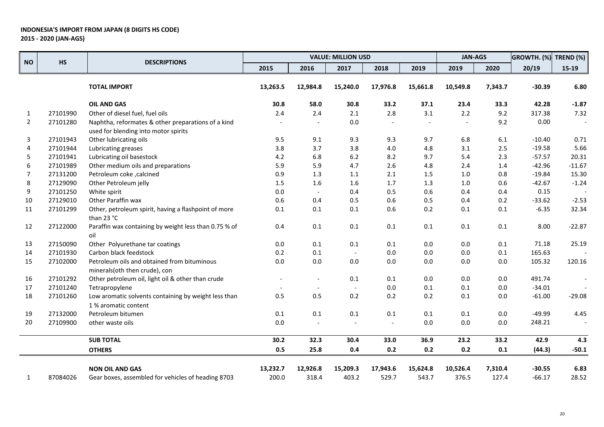|                |           |                                                                                            |                          |                          | <b>VALUE: MILLION USD</b> |          |          | <b>JAN-AGS</b> |         | GROWTH. (%) | TREND (%) |
|----------------|-----------|--------------------------------------------------------------------------------------------|--------------------------|--------------------------|---------------------------|----------|----------|----------------|---------|-------------|-----------|
| <b>NO</b>      | <b>HS</b> | <b>DESCRIPTIONS</b>                                                                        | 2015                     | 2016                     | 2017                      | 2018     | 2019     | 2019           | 2020    | 20/19       | $15-19$   |
|                |           | <b>TOTAL IMPORT</b>                                                                        | 13,263.5                 | 12,984.8                 | 15,240.0                  | 17,976.8 | 15,661.8 | 10,549.8       | 7,343.7 | $-30.39$    | 6.80      |
|                |           | <b>OIL AND GAS</b>                                                                         | 30.8                     | 58.0                     | 30.8                      | 33.2     | 37.1     | 23.4           | 33.3    | 42.28       | $-1.87$   |
| $\mathbf{1}$   | 27101990  | Other of diesel fuel, fuel oils                                                            | 2.4                      | 2.4                      | $2.1\,$                   | 2.8      | $3.1\,$  | $2.2\,$        | 9.2     | 317.38      | 7.32      |
| $\overline{2}$ | 27101280  | Naphtha, reformates & other preparations of a kind<br>used for blending into motor spirits |                          |                          | $0.0\,$                   |          |          |                | 9.2     | 0.00        |           |
| 3              | 27101943  | Other lubricating oils                                                                     | 9.5                      | 9.1                      | 9.3                       | 9.3      | 9.7      | 6.8            | 6.1     | $-10.40$    | 0.71      |
| 4              | 27101944  | Lubricating greases                                                                        | 3.8                      | 3.7                      | 3.8                       | 4.0      | 4.8      | 3.1            | 2.5     | $-19.58$    | 5.66      |
| 5              | 27101941  | Lubricating oil basestock                                                                  | 4.2                      | 6.8                      | $6.2\,$                   | 8.2      | 9.7      | 5.4            | 2.3     | $-57.57$    | 20.31     |
| 6              | 27101989  | Other medium oils and preparations                                                         | 5.9                      | 5.9                      | 4.7                       | 2.6      | 4.8      | 2.4            | 1.4     | $-42.96$    | $-11.67$  |
| 7              | 27131200  | Petroleum coke, calcined                                                                   | 0.9                      | 1.3                      | 1.1                       | 2.1      | 1.5      | 1.0            | 0.8     | $-19.84$    | 15.30     |
| 8              | 27129090  | Other Petroleum jelly                                                                      | 1.5                      | 1.6                      | 1.6                       | 1.7      | 1.3      | 1.0            | 0.6     | $-42.67$    | $-1.24$   |
| 9              | 27101250  | White spirit                                                                               | $0.0\,$                  | $\sim$                   | 0.4                       | 0.5      | 0.6      | 0.4            | 0.4     | 0.15        |           |
| $10\,$         | 27129010  | Other Paraffin wax                                                                         | 0.6                      | 0.4                      | 0.5                       | 0.6      | 0.5      | 0.4            | 0.2     | $-33.62$    | $-2.53$   |
| ${\bf 11}$     | 27101299  | Other, petroleum spirit, having a flashpoint of more<br>than 23 °C                         | $0.1\,$                  | 0.1                      | $0.1\,$                   | 0.6      | 0.2      | 0.1            | 0.1     | $-6.35$     | 32.34     |
| 12             | 27122000  | Paraffin wax containing by weight less than 0.75 % of<br>oil                               | 0.4                      | $0.1\,$                  | 0.1                       | $0.1\,$  | $0.1\,$  | $0.1\,$        | 0.1     | 8.00        | $-22.87$  |
| 13             | 27150090  | Other Polyurethane tar coatings                                                            | $0.0\,$                  | 0.1                      | 0.1                       | 0.1      | 0.0      | 0.0            | 0.1     | 71.18       | 25.19     |
| 14             | 27101930  | Carbon black feedstock                                                                     | 0.2                      | $0.1\,$                  | $\overline{\phantom{a}}$  | $0.0\,$  | 0.0      | $0.0\,$        | 0.1     | 165.63      |           |
| 15             | 27102000  | Petroleum oils and obtained from bituminous<br>minerals(oth then crude), con               | $0.0\,$                  | 0.0                      | $0.0\,$                   | $0.0\,$  | $0.0\,$  | $0.0\,$        | 0.0     | 105.32      | 120.16    |
| 16             | 27101292  | Other petroleum oil, light oil & other than crude                                          | $\overline{\phantom{a}}$ | $\overline{a}$           | 0.1                       | 0.1      | 0.0      | $0.0\,$        | $0.0\,$ | 491.74      |           |
| 17             | 27101240  | Tetrapropylene                                                                             |                          | $\overline{\phantom{a}}$ |                           | 0.0      | 0.1      | 0.1            | 0.0     | $-34.01$    |           |
| 18             | 27101260  | Low aromatic solvents containing by weight less than<br>1% aromatic content                | 0.5                      | 0.5                      | 0.2                       | 0.2      | 0.2      | 0.1            | 0.0     | $-61.00$    | $-29.08$  |
| 19             | 27132000  | Petroleum bitumen                                                                          | 0.1                      | 0.1                      | 0.1                       | 0.1      | 0.1      | 0.1            | $0.0\,$ | $-49.99$    | 4.45      |
| 20             | 27109900  | other waste oils                                                                           | $0.0\,$                  | $\overline{\phantom{a}}$ |                           |          | 0.0      | 0.0            | 0.0     | 248.21      |           |
|                |           | <b>SUB TOTAL</b>                                                                           | 30.2                     | 32.3                     | 30.4                      | 33.0     | 36.9     | 23.2           | 33.2    | 42.9        | 4.3       |
|                |           | <b>OTHERS</b>                                                                              | 0.5                      | 25.8                     | 0.4                       | 0.2      | 0.2      | 0.2            | 0.1     | (44.3)      | $-50.1$   |
|                |           | <b>NON OIL AND GAS</b>                                                                     | 13,232.7                 | 12,926.8                 | 15,209.3                  | 17,943.6 | 15,624.8 | 10,526.4       | 7,310.4 | $-30.55$    | 6.83      |
| 1              | 87084026  | Gear boxes, assembled for vehicles of heading 8703                                         | 200.0                    | 318.4                    | 403.2                     | 529.7    | 543.7    | 376.5          | 127.4   | $-66.17$    | 28.52     |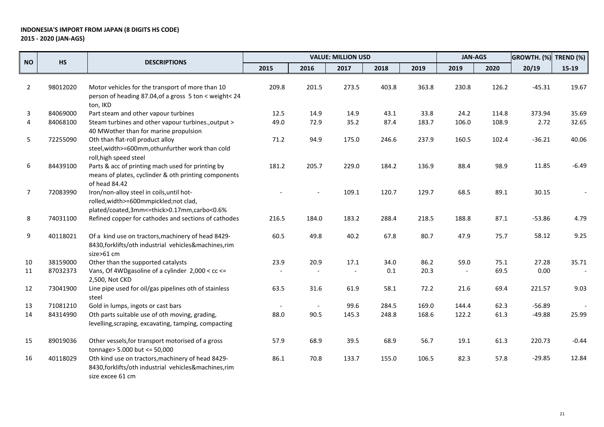|                |          | <b>DESCRIPTIONS</b>                                                                                                               | <b>VALUE: MILLION USD</b> |       |       |         |       | <b>JAN-AGS</b>           |       | GROWTH. (%) | TREND (%) |
|----------------|----------|-----------------------------------------------------------------------------------------------------------------------------------|---------------------------|-------|-------|---------|-------|--------------------------|-------|-------------|-----------|
| <b>NO</b>      | HS       |                                                                                                                                   | 2015                      | 2016  | 2017  | 2018    | 2019  | 2019                     | 2020  | 20/19       | $15-19$   |
| $\overline{2}$ | 98012020 | Motor vehicles for the transport of more than 10<br>person of heading 87.04, of a gross 5 ton < weight< 24<br>ton, IKD            | 209.8                     | 201.5 | 273.5 | 403.8   | 363.8 | 230.8                    | 126.2 | $-45.31$    | 19.67     |
| 3              | 84069000 | Part steam and other vapour turbines                                                                                              | 12.5                      | 14.9  | 14.9  | 43.1    | 33.8  | 24.2                     | 114.8 | 373.94      | 35.69     |
| 4              | 84068100 | Steam turbines and other vapour turbines., output ><br>40 MWother than for marine propulsion                                      | 49.0                      | 72.9  | 35.2  | 87.4    | 183.7 | 106.0                    | 108.9 | 2.72        | 32.65     |
| 5              | 72255090 | Oth than flat-roll product alloy<br>steel, width>=600mm, othunfurther work than cold<br>roll, high speed steel                    | 71.2                      | 94.9  | 175.0 | 246.6   | 237.9 | 160.5                    | 102.4 | $-36.21$    | 40.06     |
| 6              | 84439100 | Parts & acc of printing mach used for printing by<br>means of plates, cyclinder & oth printing components<br>of head 84.42        | 181.2                     | 205.7 | 229.0 | 184.2   | 136.9 | 88.4                     | 98.9  | 11.85       | $-6.49$   |
| 7              | 72083990 | Iron/non-alloy steel in coils, until hot-<br>rolled, width>=600mmpickled; not clad,<br>plated/coated,3mm<=thick>0.17mm,carbo<0.6% |                           |       | 109.1 | 120.7   | 129.7 | 68.5                     | 89.1  | 30.15       |           |
| 8              | 74031100 | Refined copper for cathodes and sections of cathodes                                                                              | 216.5                     | 184.0 | 183.2 | 288.4   | 218.5 | 188.8                    | 87.1  | $-53.86$    | 4.79      |
| 9              | 40118021 | Of a kind use on tractors, machinery of head 8429-<br>8430, forklifts/oth industrial vehicles&machines, rim<br>size>61 cm         | 60.5                      | 49.8  | 40.2  | 67.8    | 80.7  | 47.9                     | 75.7  | 58.12       | 9.25      |
| 10             | 38159000 | Other than the supported catalysts                                                                                                | 23.9                      | 20.9  | 17.1  | 34.0    | 86.2  | 59.0                     | 75.1  | 27.28       | 35.71     |
| 11             | 87032373 | Vans, Of 4WDgasoline of a cylinder 2,000 < cc <=<br>2,500, Not CKD                                                                |                           |       |       | $0.1\,$ | 20.3  | $\overline{\phantom{a}}$ | 69.5  | 0.00        |           |
| 12             | 73041900 | Line pipe used for oil/gas pipelines oth of stainless<br>steel                                                                    | 63.5                      | 31.6  | 61.9  | 58.1    | 72.2  | 21.6                     | 69.4  | 221.57      | 9.03      |
| 13             | 71081210 | Gold in lumps, ingots or cast bars                                                                                                | $\overline{\phantom{a}}$  |       | 99.6  | 284.5   | 169.0 | 144.4                    | 62.3  | $-56.89$    |           |
| 14             | 84314990 | Oth parts suitable use of oth moving, grading,<br>levelling, scraping, excavating, tamping, compacting                            | 88.0                      | 90.5  | 145.3 | 248.8   | 168.6 | 122.2                    | 61.3  | $-49.88$    | 25.99     |
| 15             | 89019036 | Other vessels, for transport motorised of a gross<br>tonnage> 5.000 but <= 50,000                                                 | 57.9                      | 68.9  | 39.5  | 68.9    | 56.7  | 19.1                     | 61.3  | 220.73      | $-0.44$   |
| 16             | 40118029 | Oth kind use on tractors, machinery of head 8429-<br>8430, forklifts/oth industrial vehicles&machines, rim<br>size excee 61 cm    | 86.1                      | 70.8  | 133.7 | 155.0   | 106.5 | 82.3                     | 57.8  | $-29.85$    | 12.84     |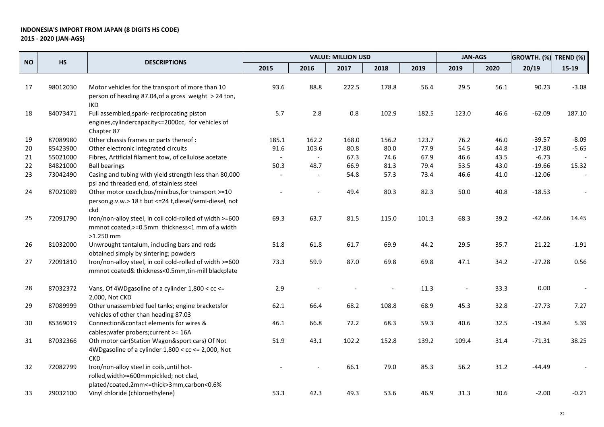|           |           |                                                                                                                                  |                |          | <b>VALUE: MILLION USD</b> |       |       | <b>JAN-AGS</b> |      | GROWTH. (%) | TREND (%) |
|-----------|-----------|----------------------------------------------------------------------------------------------------------------------------------|----------------|----------|---------------------------|-------|-------|----------------|------|-------------|-----------|
| <b>NO</b> | <b>HS</b> | <b>DESCRIPTIONS</b>                                                                                                              | 2015           | 2016     | 2017                      | 2018  | 2019  | 2019           | 2020 | 20/19       | $15-19$   |
| 17        | 98012030  | Motor vehicles for the transport of more than 10<br>person of heading 87.04, of a gross weight > 24 ton,                         | 93.6           | 88.8     | 222.5                     | 178.8 | 56.4  | 29.5           | 56.1 | 90.23       | $-3.08$   |
| 18        | 84073471  | <b>IKD</b><br>Full assembled, spark- reciprocating piston<br>engines, cylinder capacity <= 2000cc, for vehicles of<br>Chapter 87 | 5.7            | 2.8      | $0.8\,$                   | 102.9 | 182.5 | 123.0          | 46.6 | $-62.09$    | 187.10    |
| 19        | 87089980  | Other chassis frames or parts thereof :                                                                                          | 185.1          | 162.2    | 168.0                     | 156.2 | 123.7 | 76.2           | 46.0 | $-39.57$    | $-8.09$   |
| 20        | 85423900  | Other electronic integrated circuits                                                                                             | 91.6           | 103.6    | 80.8                      | 80.0  | 77.9  | 54.5           | 44.8 | $-17.80$    | $-5.65$   |
| 21        | 55021000  | Fibres, Artificial filament tow, of cellulose acetate                                                                            | $\blacksquare$ | $\equiv$ | 67.3                      | 74.6  | 67.9  | 46.6           | 43.5 | $-6.73$     |           |
| 22        | 84821000  | <b>Ball bearings</b>                                                                                                             | 50.3           | 48.7     | 66.9                      | 81.3  | 79.4  | 53.5           | 43.0 | $-19.66$    | 15.32     |
| 23        | 73042490  | Casing and tubing with yield strength less than 80,000<br>psi and threaded end, of stainless steel                               |                |          | 54.8                      | 57.3  | 73.4  | 46.6           | 41.0 | $-12.06$    |           |
| 24        | 87021089  | Other motor coach, bus/minibus, for transport >=10<br>person, g.v.w.> 18 t but <= 24 t, diesel/semi-diesel, not<br>ckd           |                |          | 49.4                      | 80.3  | 82.3  | 50.0           | 40.8 | $-18.53$    |           |
| 25        | 72091790  | Iron/non-alloy steel, in coil cold-rolled of width >=600<br>mmnot coated, >=0.5mm thickness<1 mm of a width<br>$>1.250$ mm       | 69.3           | 63.7     | 81.5                      | 115.0 | 101.3 | 68.3           | 39.2 | $-42.66$    | 14.45     |
| 26        | 81032000  | Unwrought tantalum, including bars and rods<br>obtained simply by sintering; powders                                             | 51.8           | 61.8     | 61.7                      | 69.9  | 44.2  | 29.5           | 35.7 | 21.22       | $-1.91$   |
| 27        | 72091810  | Iron/non-alloy steel, in coil cold-rolled of width >=600<br>mmnot coated& thickness<0.5mm,tin-mill blackplate                    | 73.3           | 59.9     | 87.0                      | 69.8  | 69.8  | 47.1           | 34.2 | $-27.28$    | 0.56      |
| 28        | 87032372  | Vans, Of 4WDgasoline of a cylinder 1,800 < cc <=<br>2,000, Not CKD                                                               | 2.9            |          |                           |       | 11.3  |                | 33.3 | 0.00        |           |
| 29        | 87089999  | Other unassembled fuel tanks; engine bracketsfor<br>vehicles of other than heading 87.03                                         | 62.1           | 66.4     | 68.2                      | 108.8 | 68.9  | 45.3           | 32.8 | $-27.73$    | 7.27      |
| 30        | 85369019  | Connection&contact elements for wires &<br>cables; wafer probers; current >= 16A                                                 | 46.1           | 66.8     | 72.2                      | 68.3  | 59.3  | 40.6           | 32.5 | $-19.84$    | 5.39      |
| 31        | 87032366  | Oth motor car(Station Wagon&sport cars) Of Not<br>4WDgasoline of a cylinder 1,800 < cc <= 2,000, Not<br><b>CKD</b>               | 51.9           | 43.1     | 102.2                     | 152.8 | 139.2 | 109.4          | 31.4 | $-71.31$    | 38.25     |
| 32        | 72082799  | Iron/non-alloy steel in coils, until hot-<br>rolled, width>=600mmpickled; not clad,<br>plated/coated,2mm<=thick>3mm,carbon<0.6%  |                |          | 66.1                      | 79.0  | 85.3  | 56.2           | 31.2 | $-44.49$    |           |
| 33        | 29032100  | Vinyl chloride (chloroethylene)                                                                                                  | 53.3           | 42.3     | 49.3                      | 53.6  | 46.9  | 31.3           | 30.6 | $-2.00$     | $-0.21$   |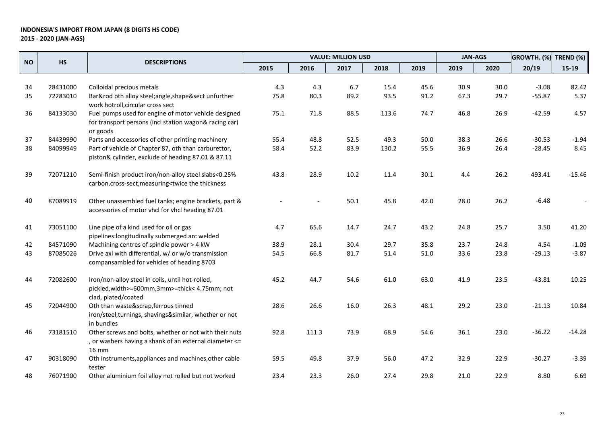|           |           | <b>DESCRIPTIONS</b>                                                                                                                                       |      |       | <b>VALUE: MILLION USD</b> |       |      | <b>JAN-AGS</b> |      | GROWTH. (%) | TREND (%) |
|-----------|-----------|-----------------------------------------------------------------------------------------------------------------------------------------------------------|------|-------|---------------------------|-------|------|----------------|------|-------------|-----------|
| <b>NO</b> | <b>HS</b> |                                                                                                                                                           | 2015 | 2016  | 2017                      | 2018  | 2019 | 2019           | 2020 | 20/19       | $15-19$   |
|           |           |                                                                                                                                                           |      |       |                           |       |      |                |      |             |           |
| 34        | 28431000  | Colloidal precious metals                                                                                                                                 | 4.3  | 4.3   | 6.7                       | 15.4  | 45.6 | 30.9           | 30.0 | $-3.08$     | 82.42     |
| 35        | 72283010  | Bar&rod oth alloy steel;angle,shape§ unfurther                                                                                                            | 75.8 | 80.3  | 89.2                      | 93.5  | 91.2 | 67.3           | 29.7 | $-55.87$    | 5.37      |
|           |           | work hotroll, circular cross sect                                                                                                                         |      |       |                           |       |      |                |      |             |           |
| 36        | 84133030  | Fuel pumps used for engine of motor vehicle designed                                                                                                      | 75.1 | 71.8  | 88.5                      | 113.6 | 74.7 | 46.8           | 26.9 | $-42.59$    | 4.57      |
|           |           | for transport persons (incl station wagon& racing car)                                                                                                    |      |       |                           |       |      |                |      |             |           |
|           |           | or goods                                                                                                                                                  |      |       |                           |       |      |                |      |             |           |
| 37        | 84439990  | Parts and accessories of other printing machinery                                                                                                         | 55.4 | 48.8  | 52.5                      | 49.3  | 50.0 | 38.3           | 26.6 | $-30.53$    | $-1.94$   |
| 38        | 84099949  | Part of vehicle of Chapter 87, oth than carburettor,                                                                                                      | 58.4 | 52.2  | 83.9                      | 130.2 | 55.5 | 36.9           | 26.4 | $-28.45$    | 8.45      |
|           |           | piston& cylinder, exclude of heading 87.01 & 87.11                                                                                                        |      |       |                           |       |      |                |      |             |           |
| 39        | 72071210  | Semi-finish product iron/non-alloy steel slabs<0.25%                                                                                                      | 43.8 | 28.9  | 10.2                      | 11.4  | 30.1 | 4.4            | 26.2 | 493.41      | $-15.46$  |
|           |           | carbon, cross-sect, measuring <twice td="" the="" thickness<=""><td></td><td></td><td></td><td></td><td></td><td></td><td></td><td></td><td></td></twice> |      |       |                           |       |      |                |      |             |           |
| 40        | 87089919  | Other unassembled fuel tanks; engine brackets, part &                                                                                                     |      |       | 50.1                      | 45.8  | 42.0 | 28.0           | 26.2 | $-6.48$     |           |
|           |           | accessories of motor vhcl for vhcl heading 87.01                                                                                                          |      |       |                           |       |      |                |      |             |           |
| 41        | 73051100  | Line pipe of a kind used for oil or gas                                                                                                                   | 4.7  | 65.6  | 14.7                      | 24.7  | 43.2 | 24.8           | 25.7 | 3.50        | 41.20     |
|           |           | pipelines: longitudinally submerged arc welded                                                                                                            |      |       |                           |       |      |                |      |             |           |
| 42        | 84571090  | Machining centres of spindle power > 4 kW                                                                                                                 | 38.9 | 28.1  | 30.4                      | 29.7  | 35.8 | 23.7           | 24.8 | 4.54        | $-1.09$   |
| 43        | 87085026  | Drive axl with differential, w/ or w/o transmission                                                                                                       | 54.5 | 66.8  | 81.7                      | 51.4  | 51.0 | 33.6           | 23.8 | $-29.13$    | $-3.87$   |
|           |           | compansambled for vehicles of heading 8703                                                                                                                |      |       |                           |       |      |                |      |             |           |
| 44        | 72082600  | Iron/non-alloy steel in coils, until hot-rolled,                                                                                                          | 45.2 | 44.7  | 54.6                      | 61.0  | 63.0 | 41.9           | 23.5 | $-43.81$    | 10.25     |
|           |           | pickled, width>=600mm, 3mm>=thick< 4.75mm; not                                                                                                            |      |       |                           |       |      |                |      |             |           |
|           |           | clad, plated/coated                                                                                                                                       |      |       |                           |       |      |                |      |             |           |
| 45        | 72044900  | Oth than waste&scrap, ferrous tinned                                                                                                                      | 28.6 | 26.6  | 16.0                      | 26.3  | 48.1 | 29.2           | 23.0 | $-21.13$    | 10.84     |
|           |           | iron/steel,turnings, shavings&similar, whether or not                                                                                                     |      |       |                           |       |      |                |      |             |           |
|           |           | in bundles                                                                                                                                                |      |       |                           |       |      |                |      |             |           |
| 46        | 73181510  | Other screws and bolts, whether or not with their nuts                                                                                                    | 92.8 | 111.3 | 73.9                      | 68.9  | 54.6 | 36.1           | 23.0 | $-36.22$    | $-14.28$  |
|           |           | , or washers having a shank of an external diameter <=                                                                                                    |      |       |                           |       |      |                |      |             |           |
|           |           | 16 mm                                                                                                                                                     |      |       |                           |       |      |                |      |             |           |
| 47        | 90318090  | Oth instruments, appliances and machines, other cable                                                                                                     | 59.5 | 49.8  | 37.9                      | 56.0  | 47.2 | 32.9           | 22.9 | $-30.27$    | $-3.39$   |
|           |           | tester                                                                                                                                                    |      |       |                           |       |      |                |      |             |           |
| 48        | 76071900  | Other aluminium foil alloy not rolled but not worked                                                                                                      | 23.4 | 23.3  | 26.0                      | 27.4  | 29.8 | 21.0           | 22.9 | 8.80        | 6.69      |